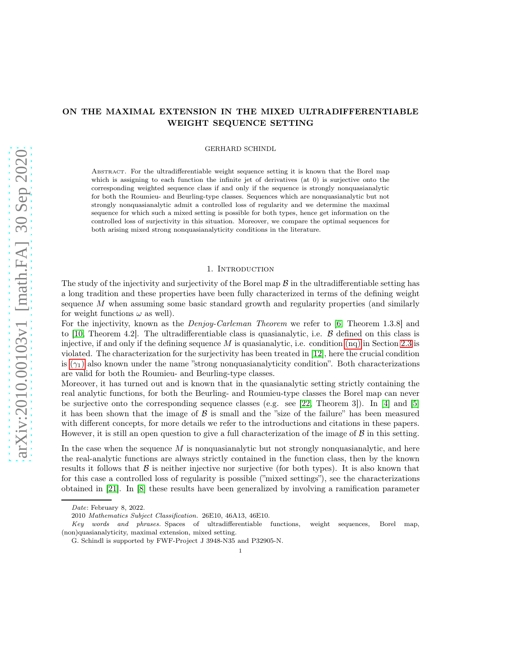# ON THE MAXIMAL EXTENSION IN THE MIXED ULTRADIFFERENTIABLE WEIGHT SEQUENCE SETTING

GERHARD SCHINDL

Abstract. For the ultradifferentiable weight sequence setting it is known that the Borel map which is assigning to each function the infinite jet of derivatives (at 0) is surjective onto the corresponding weighted sequence class if and only if the sequence is strongly nonquasianalytic for both the Roumieu- and Beurling-type classes. Sequences which are nonquasianalytic but not strongly nonquasianalytic admit a controlled loss of regularity and we determine the maximal sequence for which such a mixed setting is possible for both types, hence get information on the controlled loss of surjectivity in this situation. Moreover, we compare the optimal sequences for both arising mixed strong nonquasianalyticity conditions in the literature.

### 1. INTRODUCTION

The study of the injectivity and surjectivity of the Borel map  $\beta$  in the ultradifferentiable setting has a long tradition and these properties have been fully characterized in terms of the defining weight sequence  $M$  when assuming some basic standard growth and regularity properties (and similarly for weight functions  $\omega$  as well).

For the injectivity, known as the *Denjoy-Carleman Theorem* we refer to [\[6,](#page-25-0) Theorem 1.3.8] and to [\[10,](#page-25-1) Theorem 4.2]. The ultradifferentiable class is quasianalytic, i.e.  $\beta$  defined on this class is injective, if and only if the defining sequence M is quasianalytic, i.e. condition  $(nq)$  $(nq)$  $(nq)$  in Section [2.3](#page-4-1) is violated. The characterization for the surjectivity has been treated in [\[12\]](#page-25-2), here the crucial condition is  $(\gamma_1)$  also known under the name "strong nonquasianalyticity condition". Both characterizations are valid for both the Roumieu- and Beurling-type classes.

Moreover, it has turned out and is known that in the quasianalytic setting strictly containing the real analytic functions, for both the Beurling- and Roumieu-type classes the Borel map can never be surjective onto the corresponding sequence classes (e.g. see [\[22,](#page-26-0) Theorem 3]). In [\[4\]](#page-25-3) and [\[5\]](#page-25-4) it has been shown that the image of  $\beta$  is small and the "size of the failure" has been measured with different concepts, for more details we refer to the introductions and citations in these papers. However, it is still an open question to give a full characterization of the image of  $\beta$  in this setting.

In the case when the sequence  $M$  is nonquasianalytic but not strongly nonquasianalytic, and here the real-analytic functions are always strictly contained in the function class, then by the known results it follows that  $\beta$  is neither injective nor surjective (for both types). It is also known that for this case a controlled loss of regularity is possible ("mixed settings"), see the characterizations obtained in [\[21\]](#page-26-1). In [\[8\]](#page-25-5) these results have been generalized by involving a ramification parameter

Date: February 8, 2022.

<sup>2010</sup> Mathematics Subject Classification. 26E10, 46A13, 46E10.

Key words and phrases. Spaces of ultradifferentiable functions, weight sequences, Borel map, (non)quasianalyticity, maximal extension, mixed setting.

G. Schindl is supported by FWF-Project J 3948-N35 and P32905-N.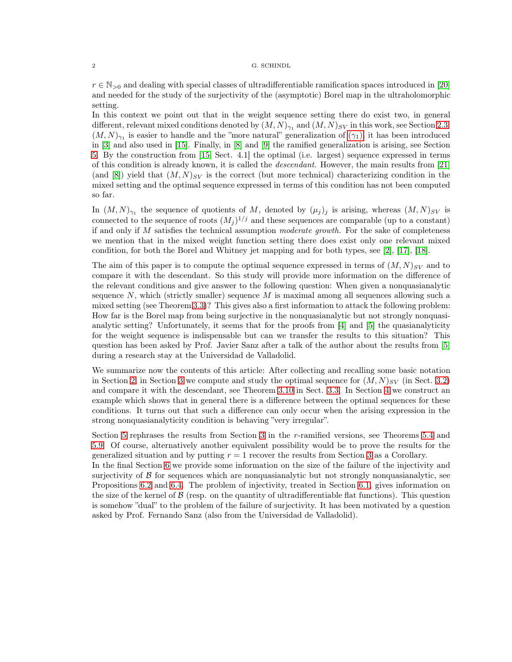$r \in \mathbb{N}_{>0}$  and dealing with special classes of ultradifferentiable ramification spaces introduced in [\[20\]](#page-26-2) and needed for the study of the surjectivity of the (asymptotic) Borel map in the ultraholomorphic setting.

In this context we point out that in the weight sequence setting there do exist two, in general different, relevant mixed conditions denoted by  $(M, N)_{\gamma_1}$  and  $(M, N)_{SV}$  in this work, see Section [2.3.](#page-4-1)  $(M, N)_{\gamma_1}$  is easier to handle and the "more natural" generalization of  $(\gamma_1)$ , it has been introduced in [\[3\]](#page-25-6) and also used in [\[15\]](#page-25-7). Finally, in [\[8\]](#page-25-5) and [\[9\]](#page-25-8) the ramified generalization is arising, see Section [5.](#page-16-0) By the construction from [\[15,](#page-25-7) Sect. 4.1] the optimal (i.e. largest) sequence expressed in terms of this condition is already known, it is called the *descendant*. However, the main results from [\[21\]](#page-26-1) (and [\[8\]](#page-25-5)) yield that  $(M, N)_{SV}$  is the correct (but more technical) characterizing condition in the mixed setting and the optimal sequence expressed in terms of this condition has not been computed so far.

In  $(M, N)_{\gamma_1}$  the sequence of quotients of M, denoted by  $(\mu_j)_j$  is arising, whereas  $(M, N)_{SV}$  is connected to the sequence of roots  $(M_j)^{1/j}$  and these sequences are comparable (up to a constant) if and only if  $M$  satisfies the technical assumption moderate growth. For the sake of completeness we mention that in the mixed weight function setting there does exist only one relevant mixed condition, for both the Borel and Whitney jet mapping and for both types, see [\[2\]](#page-25-9), [\[17\]](#page-25-10), [\[18\]](#page-25-11).

The aim of this paper is to compute the optimal sequence expressed in terms of  $(M, N)_{SV}$  and to compare it with the descendant. So this study will provide more information on the difference of the relevant conditions and give answer to the following question: When given a nonquasianalytic sequence  $N$ , which (strictly smaller) sequence  $M$  is maximal among all sequences allowing such a mixed setting (see Theorem [3.3\)](#page-7-0)? This gives also a first information to attack the following problem: How far is the Borel map from being surjective in the nonquasianalytic but not strongly nonquasianalytic setting? Unfortunately, it seems that for the proofs from [\[4\]](#page-25-3) and [\[5\]](#page-25-4) the quasianalyticity for the weight sequence is indispensable but can we transfer the results to this situation? This question has been asked by Prof. Javier Sanz after a talk of the author about the results from [\[5\]](#page-25-4) during a research stay at the Universidad de Valladolid.

We summarize now the contents of this article: After collecting and recalling some basic notation in Section [2,](#page-2-1) in Section [3](#page-5-0) we compute and study the optimal sequence for  $(M, N)_{SV}$  (in Sect. [3.2\)](#page-6-0) and compare it with the descendant, see Theorem [3.10](#page-10-0) in Sect. [3.3.](#page-9-0) In Section [4](#page-11-0) we construct an example which shows that in general there is a difference between the optimal sequences for these conditions. It turns out that such a difference can only occur when the arising expression in the strong nonquasianalyticity condition is behaving "very irregular".

Section [5](#page-16-0) rephrases the results from Section [3](#page-5-0) in the r-ramified versions, see Theorems [5.4](#page-19-0) and [5.9.](#page-20-0) Of course, alternatively another equivalent possibility would be to prove the results for the generalized situation and by putting  $r = 1$  recover the results from Section [3](#page-5-0) as a Corollary.

In the final Section [6](#page-21-0) we provide some information on the size of the failure of the injectivity and surjectivity of  $\beta$  for sequences which are nonquasianalytic but not strongly nonquasianalytic, see Propositions [6.2](#page-21-1) and [6.4.](#page-23-0) The problem of injectivity, treated in Section [6.1,](#page-21-2) gives information on the size of the kernel of  $\beta$  (resp. on the quantity of ultradifferentiable flat functions). This question is somehow "dual" to the problem of the failure of surjectivity. It has been motivated by a question asked by Prof. Fernando Sanz (also from the Universidad de Valladolid).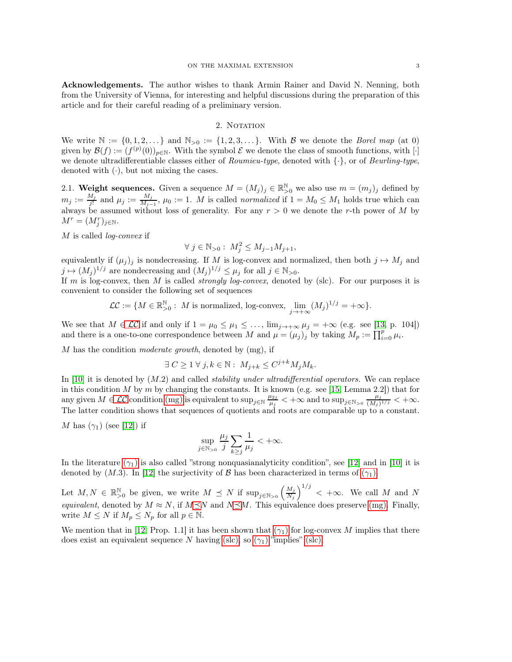Acknowledgements. The author wishes to thank Armin Rainer and David N. Nenning, both from the University of Vienna, for interesting and helpful discussions during the preparation of this article and for their careful reading of a preliminary version.

## 2. NOTATION

<span id="page-2-1"></span>We write  $\mathbb{N} := \{0, 1, 2, \ldots\}$  and  $\mathbb{N}_{>0} := \{1, 2, 3, \ldots\}$ . With B we denote the Borel map (at 0) given by  $\mathcal{B}(f) := (f^{(p)}(0))_{p \in \mathbb{N}}$ . With the symbol  $\mathcal E$  we denote the class of smooth functions, with [·] we denote ultradifferentiable classes either of *Roumieu-type*, denoted with  $\{\cdot\}$ , or of *Beurling-type*, denoted with  $(\cdot)$ , but not mixing the cases.

2.1. Weight sequences. Given a sequence  $M = (M_j)_j \in \mathbb{R}^{\mathbb{N}}_{>0}$  we also use  $m = (m_j)_j$  defined by  $m_j := \frac{M_j}{i!}$  $\frac{M_j}{j!}$  and  $\mu_j := \frac{M_j}{M_j}$  $\frac{M_j}{M_{j-1}}$ ,  $\mu_0 := 1$ . M is called *normalized* if  $1 = M_0 \leq M_1$  holds true which can always be assumed without loss of generality. For any  $r > 0$  we denote the r-th power of M by  $M^r = (M_j^r)_{j \in \mathbb{N}}.$ 

M is called *log-convex* if

<span id="page-2-5"></span>
$$
\forall j \in \mathbb{N}_{>0}: M_j^2 \le M_{j-1}M_{j+1},
$$

equivalently if  $(\mu_j)_j$  is nondecreasing. If M is log-convex and normalized, then both  $j \mapsto M_j$  and  $j \mapsto (M_j)^{1/j}$  are nondecreasing and  $(M_j)^{1/j} \leq \mu_j$  for all  $j \in \mathbb{N}_{>0}$ .

If m is log-convex, then M is called *strongly log-convex*, denoted by (slc). For our purposes it is convenient to consider the following set of sequences

<span id="page-2-2"></span>
$$
\mathcal{LC} := \{ M \in \mathbb{R}^{\mathbb{N}}_{>0} : M \text{ is normalized, log-convex, } \lim_{j \to +\infty} (M_j)^{1/j} = +\infty \}.
$$

We see that  $M \in \mathcal{LC}$  if and only if  $1 = \mu_0 \leq \mu_1 \leq \ldots$ ,  $\lim_{j \to +\infty} \mu_j = +\infty$  (e.g. see [\[13,](#page-25-12) p. 104]) and there is a one-to-one correspondence between M and  $\mu = (\mu_j)_j$  by taking  $M_p := \prod_{i=0}^p \mu_i$ .

M has the condition moderate growth, denoted by  $(mg)$ , if

<span id="page-2-3"></span>
$$
\exists C \ge 1 \,\forall \, j, k \in \mathbb{N} : M_{j+k} \le C^{j+k} M_j M_k.
$$

In [\[10\]](#page-25-1) it is denoted by  $(M.2)$  and called *stability under ultradifferential operators*. We can replace in this condition  $M$  by  $m$  by changing the constants. It is known (e.g. see [\[15,](#page-25-7) Lemma 2.2]) that for any given  $M \in \mathcal{LC}$  condition [\(mg\)](#page-2-3) is equivalent to  $\sup_{j \in \mathbb{N}} \frac{\mu_{2j}}{\mu_j}$  $\frac{\mu_{2j}}{\mu_j} < +\infty$  and to sup<sub>j∈N>0</sub>  $\frac{\mu_j}{(M_j)}$  $\frac{\mu_j}{(M_j)^{1/j}} < +\infty.$ The latter condition shows that sequences of quotients and roots are comparable up to a constant.

<span id="page-2-0"></span>M has  $(\gamma_1)$  (see [\[12\]](#page-25-2)) if

<span id="page-2-6"></span><span id="page-2-4"></span>
$$
\sup_{j \in \mathbb{N}_{>0}} \frac{\mu_j}{j} \sum_{k \ge j} \frac{1}{\mu_j} < +\infty.
$$

In the literature  $(\gamma_1)$  is also called "strong nonquasianalyticity condition", see [\[12\]](#page-25-2) and in [\[10\]](#page-25-1) it is denoted by (M.3). In [\[12\]](#page-25-2) the surjectivity of B has been characterized in terms of  $(\gamma_1)$ .

Let  $M, N \in \mathbb{R}_{>0}^{\mathbb{N}}$  be given, we write  $M \preceq N$  if  $\sup_{j \in \mathbb{N}_{>0}} \left( \frac{M_j}{N_j} \right)$  $N_j$  $\int_{0}^{1/j}$  < + $\infty$ . We call M and N equivalent, denoted by  $M \approx N$ , if  $M \leq N$  and  $N \leq M$ . This equivalence does preserve ([mg](#page-2-3)). Finally, write  $M \leq N$  if  $M_p \leq N_p$  for all  $p \in \mathbb{N}$ .

We mention that in [\[12,](#page-25-2) Prop. 1.1] it has been shown that  $(\gamma_1)$  for log-convex M implies that there does exist an equivalent sequence N having ([slc](#page-2-5)), so  $(\gamma_1)$  "implies" (slc).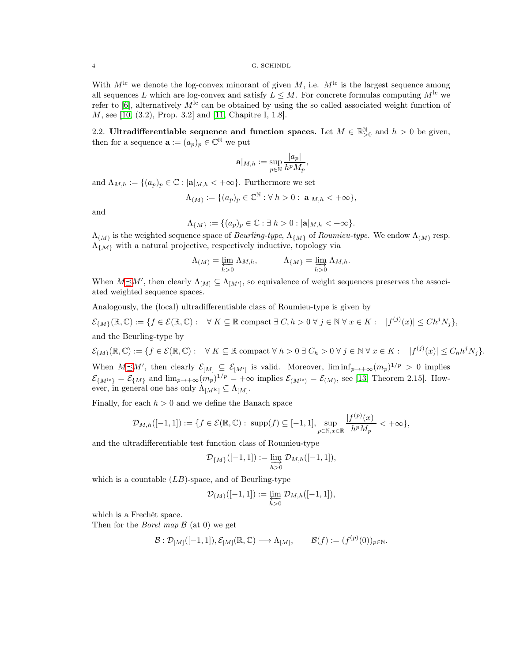With  $M<sup>lc</sup>$  we denote the log-convex minorant of given M, i.e.  $M<sup>lc</sup>$  is the largest sequence among all sequences L which are log-convex and satisfy  $L \leq M$ . For concrete formulas computing  $M<sup>lc</sup>$  we refer to [\[6\]](#page-25-0), alternatively  $M<sup>lc</sup>$  can be obtained by using the so called associated weight function of M, see [\[10,](#page-25-1) (3.2), Prop. 3.2] and [\[11,](#page-25-13) Chapitre I, 1.8].

2.2. Ultradifferentiable sequence and function spaces. Let  $M \in \mathbb{R}_{\geq 0}^{\mathbb{N}}$  and  $h > 0$  be given, then for a sequence  $\mathbf{a} := (a_p)_p \in \mathbb{C}^{\mathbb{N}}$  we put

$$
|\mathbf{a}|_{M,h}:=\sup_{p\in\mathbb{N}}\frac{|a_p|}{h^pM_p},
$$

and  $\Lambda_{M,h} := \{(a_p)_p \in \mathbb{C} : |\mathbf{a}|_{M,h} < +\infty\}$ . Furthermore we set

$$
\Lambda_{(M)} := \{ (a_p)_p \in \mathbb{C}^{\mathbb{N}} : \forall \ h > 0 : |\mathbf{a}|_{M,h} < +\infty \},
$$

and

$$
\Lambda_{\{M\}} := \{(a_p)_p \in \mathbb{C} : \exists h > 0 : |\mathbf{a}|_{M,h} < +\infty\}.
$$

 $\Lambda_{(M)}$  is the weighted sequence space of Beurling-type,  $\Lambda_{\{M\}}$  of Roumieu-type. We endow  $\Lambda_{(M)}$  resp.  $\Lambda_{\{\mathcal{M}\}}$  with a natural projective, respectively inductive, topology via

$$
\Lambda_{(M)} = \varprojlim_{h>0} \Lambda_{M,h}, \qquad \Lambda_{\{M\}} = \varinjlim_{h>0} \Lambda_{M,h}.
$$

When  $M \leq M'$ , then clearly  $\Lambda_{[M]} \subseteq \Lambda_{[M']}$ , so equivalence of weight sequences preserves the associated weighted sequence spaces.

Analogously, the (local) ultradifferentiable class of Roumieu-type is given by

 $\mathcal{E}_{\{M\}}(\mathbb{R}, \mathbb{C}) := \{ f \in \mathcal{E}(\mathbb{R}, \mathbb{C}) : \forall K \subseteq \mathbb{R} \text{ compact } \exists C, h > 0 \ \forall j \in \mathbb{N} \ \forall x \in K : \ |f^{(j)}(x)| \leq C h^j N_j \},\$ and the Beurling-type by

$$
\mathcal{E}_{(M)}(\mathbb{R}, \mathbb{C}) := \{ f \in \mathcal{E}(\mathbb{R}, \mathbb{C}) : \forall K \subseteq \mathbb{R} \text{ compact } \forall h > 0 \ \exists C_h > 0 \ \forall j \in \mathbb{N} \ \forall x \in K : |f^{(j)}(x)| \le C_h h^j N_j \}.
$$

When  $M \preceq M'$ , then clearly  $\mathcal{E}_{[M]} \subseteq \mathcal{E}_{[M']}$  is valid. Moreover,  $\liminf_{p \to +\infty} (m_p)^{1/p} > 0$  implies  $\mathcal{E}_{\{M^{\mathrm{lc}}\}} = \mathcal{E}_{\{M\}}$  and  $\lim_{p \to +\infty} (m_p)^{1/p} = +\infty$  implies  $\mathcal{E}_{(M^{\mathrm{lc}})} = \mathcal{E}_{(M)}$ , see [\[13,](#page-25-12) Theorem 2.15]. However, in general one has only  $\Lambda_{[M^{lc}]} \subseteq \Lambda_{[M]}$ .

Finally, for each  $h > 0$  and we define the Banach space

$$
\mathcal{D}_{M,h}([-1,1]):=\{f\in\mathcal{E}(\mathbb{R},\mathbb{C}): \text{ supp}(f)\subseteq[-1,1],\sup_{p\in\mathbb{N},x\in\mathbb{R}}\frac{|f^{(p)}(x)|}{h^pM_p}<+\infty\},
$$

and the ultradifferentiable test function class of Roumieu-type

$$
\mathcal{D}_{\{M\}}([-1,1]):=\varinjlim_{h>0}\mathcal{D}_{M,h}([-1,1]),
$$

which is a countable  $(LB)$ -space, and of Beurling-type

$$
\mathcal{D}_{(M)}([-1,1]) := \varprojlim_{h>0} \mathcal{D}_{M,h}([-1,1]),
$$

which is a Frechét space.

Then for the *Borel map*  $\beta$  (at 0) we get

$$
\mathcal{B} : \mathcal{D}_{[M]}([-1,1]), \mathcal{E}_{[M]}(\mathbb{R}, \mathbb{C}) \longrightarrow \Lambda_{[M]}, \qquad \mathcal{B}(f) := (f^{(p)}(0))_{p \in \mathbb{N}}.
$$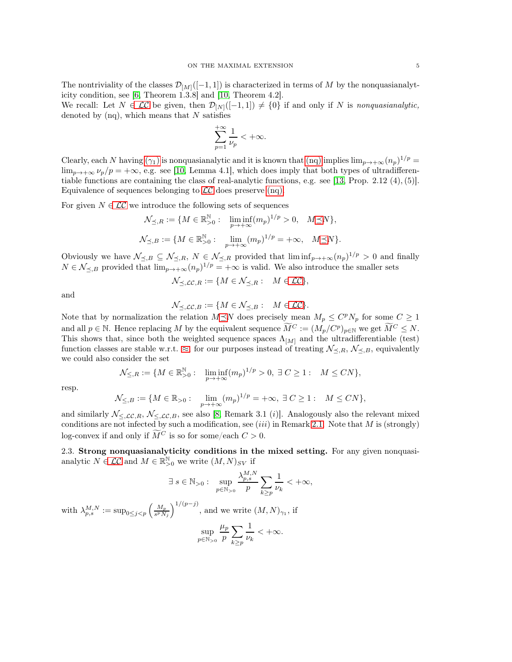The nontriviality of the classes  $\mathcal{D}_{[M]}([-1, 1])$  is characterized in terms of M by the nonquasianalyticity condition, see [\[6,](#page-25-0) Theorem 1.3.8] and [\[10,](#page-25-1) Theorem 4.2].

<span id="page-4-0"></span>We recall: Let  $N \in \mathcal{LC}$  be given, then  $\mathcal{D}_{[N]}([-1,1]) \neq \{0\}$  if and only if N is nonquasianalytic, denoted by  $(nq)$ , which means that N satisfies

$$
\sum_{p=1}^{+\infty}\frac{1}{\nu_p}<+\infty.
$$

Clearly, each N having  $(\gamma_1)$  is no[nq](#page-4-0)uasianalytic and it is known that  $(nq)$  implies  $\lim_{p\to+\infty} (n_p)^{1/p}$  $\lim_{p\to+\infty}\nu_p/p=+\infty$ , e.g. see [\[10,](#page-25-1) Lemma 4.1], which does imply that both types of ultradifferen-tiable functions are containing the class of real-analytic functions, e.g. see [\[13,](#page-25-12) Prop. 2.12  $(4)$ , (5)]. Equivalence of sequences belonging to  $\mathcal{LC}$  $\mathcal{LC}$  $\mathcal{LC}$  does preserve ([nq](#page-4-0)).

For given  $N \in \mathcal{LC}$  we introduce the following sets of sequences

$$
\mathcal{N}_{\preceq,R} := \{ M \in \mathbb{R}_{>0}^{\mathbb{N}} : \liminf_{p \to +\infty} (m_p)^{1/p} > 0, \quad M \preceq N \},\
$$
  

$$
\mathcal{N}_{\preceq,B} := \{ M \in \mathbb{R}_{>0}^{\mathbb{N}} : \lim_{p \to +\infty} (m_p)^{1/p} = +\infty, \quad M \preceq N \}.
$$

Obviously we have  $\mathcal{N}_{\preceq,B} \subseteq \mathcal{N}_{\preceq,R}$ ,  $N \in \mathcal{N}_{\preceq,R}$  provided that  $\liminf_{p \to +\infty} (n_p)^{1/p} > 0$  and finally  $N \in \mathcal{N}_{\preceq,B}$  provided that  $\lim_{p\to+\infty} (n_p)^{1/p} = +\infty$  is valid. We also introduce the smaller sets

$$
\mathcal{N}_{\preceq,\mathcal{LC},R} := \{ M \in \mathcal{N}_{\preceq,R} : M \in \mathcal{LC} \},
$$

and

$$
\mathcal{N}_{\preceq,\mathcal{LC},B} := \{ M \in \mathcal{N}_{\preceq,B} : M \in \mathcal{LC} \}.
$$

Note that by normalization the relation  $M \preceq N$  does precisely mean  $M_p \leq C^p N_p$  for some  $C \geq 1$ and all  $p \in \mathbb{N}$ . Hence replacing M by the equivalent sequence  $\widetilde{M}^C := (M_p/C^p)_{p \in \mathbb{N}}$  we get  $\widetilde{M}^C \leq N$ . This shows that, since both the weighted sequence spaces  $\Lambda_{[M]}$  and the ultradifferentiable (test) function classes are stable w.r.t.  $\approx$ , for our purposes instead of treating  $\mathcal{N}_{\leq,R}$ ,  $\mathcal{N}_{\leq,B}$ , equivalently we could also consider the set

$$
\mathcal{N}_{\leq,R}:=\{M\in\mathbb{R}^\mathbb{N}_{>0}:\quad\liminf_{p\to+\infty}(m_p)^{1/p}>0,\;\exists\;C\geq1:\quad M\leq CN\},
$$

resp.

$$
\mathcal{N}_{\leq,B} := \{ M \in \mathbb{R}_{>0} : \lim_{p \to +\infty} (m_p)^{1/p} = +\infty, \ \exists C \ge 1 : M \le CN \},\
$$

and similarly  $\mathcal{N}_{\leq,L\mathcal{C},R}$ ,  $\mathcal{N}_{\leq,L\mathcal{C},B}$ , see also [\[8,](#page-25-5) Remark 3.1 (*i*)]. Analogously also the relevant mixed conditions are not infected by such a modification, see (iii) in Remark [2.1.](#page-5-1) Note that M is (strongly) log-convex if and only if  $\widetilde{M}^C$  is so for some/each  $C > 0$ .

<span id="page-4-1"></span>2.3. Strong nonquasianalyticity conditions in the mixed setting. For any given nonquasianalytic  $N \in \mathcal{LC}$  and  $M \in \mathbb{R}_{>0}^{\mathbb{N}}$  we write  $(M, N)_{SV}$  if

$$
\exists s \in \mathbb{N}_{>0}: \sup_{p \in \mathbb{N}_{>0}} \frac{\lambda_{p,s}^{M,N}}{p} \sum_{k \ge p} \frac{1}{\nu_k} < +\infty,
$$
  
with  $\lambda_{p,s}^{M,N} := \sup_{0 \le j < p} \left(\frac{M_p}{s^p N_j}\right)^{1/(p-j)}$ , and we write  $(M, N)_{\gamma_1}$ , if  

$$
\sup_{p \in \mathbb{N}_{>0}} \frac{\mu_p}{p} \sum_{k \ge p} \frac{1}{\nu_k} < +\infty.
$$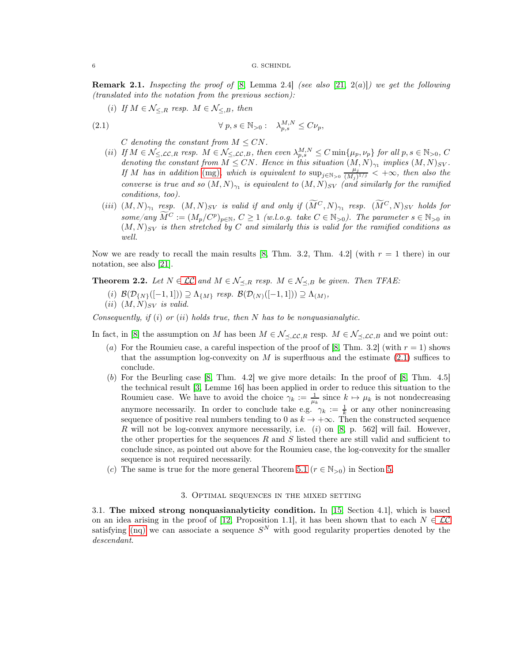<span id="page-5-1"></span>**Remark 2.1.** Inspecting the proof of [\[8,](#page-25-5) Lemma 2.4] (see also [\[21,](#page-26-1) 2(a)]) we get the following (translated into the notation from the previous section):

(i) If  $M \in \mathcal{N}_{\leq R}$  resp.  $M \in \mathcal{N}_{\leq B}$ , then

(2.1) 
$$
\forall p, s \in \mathbb{N}_{>0}: \lambda_{p,s}^{M,N} \leq C \nu_p,
$$

<span id="page-5-2"></span>C denoting the constant from  $M \leq CN$ .

- (ii) If  $M \in \mathcal{N}_{\leq, \mathcal{LC}, R}$  resp.  $M \in \mathcal{N}_{\leq, \mathcal{LC}, B}$ , then even  $\lambda_{p,s}^{M,N} \leq C \min\{\mu_p, \nu_p\}$  for all  $p, s \in \mathbb{N}_{>0}$ ,  $C$ denoting the constant from  $M \leq CN$ . Hence in this situation  $(M, N)_{\gamma_1}$  implies  $(M, N)_{SV}$ . If M has in addition [\(mg\)](#page-2-3), which is equivalent to  $\sup_{j\in\mathbb{N}}>0$   $\frac{\mu_j}{(M_j)}$  $\frac{\mu_j}{(M_j)^{1/j}} < +\infty$ , then also the converse is true and so  $(M, N)_{\gamma_1}$  is equivalent to  $(M, N)_{SV}$  (and similarly for the ramified conditions, too).
- (iii)  $(M, N)_{\gamma_1}$  resp.  $(M, N)_{SV}$  is valid if and only if  $(M^C, N)_{\gamma_1}$  resp.  $(M^C, N)_{SV}$  holds for some/any  $\widetilde{M}^C := (M_p/C^p)_{p \in \mathbb{N}}, C \ge 1$  (w.l.o.g. take  $C \in \mathbb{N}_{>0}$ ). The parameter  $s \in \mathbb{N}_{>0}$  in  $(M, N)_{SV}$  is then stretched by C and similarly this is valid for the ramified conditions as well.

Now we are ready to recall the main results [\[8,](#page-25-5) Thm. 3.2, Thm. 4.2] (with  $r = 1$  there) in our notation, see also [\[21\]](#page-26-1).

<span id="page-5-3"></span>**Theorem 2.2.** Let  $N \in \mathcal{LC}$  and  $M \in \mathcal{N}_{\prec,R}$  resp.  $M \in \mathcal{N}_{\prec,B}$  be given. Then TFAE:

(i)  $\mathcal{B}(\mathcal{D}_{\{N\}}([-1,1])) \supseteq \Lambda_{\{M\}}$  resp.  $\mathcal{B}(\mathcal{D}_{(N)}([-1,1])) \supseteq \Lambda_{(M)}$ ,

$$
(ii) (M,N)_{SV} \text{ is valid.}
$$

Consequently, if  $(i)$  or  $(ii)$  holds true, then N has to be nonquasianalytic.

In fact, in [\[8\]](#page-25-5) the assumption on M has been  $M \in \mathcal{N}_{\prec, \mathcal{LC},R}$  resp.  $M \in \mathcal{N}_{\prec, \mathcal{LC},B}$  and we point out:

- (a) For the Roumieu case, a careful inspection of the proof of [\[8,](#page-25-5) Thm. 3.2] (with  $r = 1$ ) shows that the assumption log-convexity on  $M$  is superfluous and the estimate  $(2.1)$  suffices to conclude.
- $(b)$  For the Beurling case  $[8, Thm. 4.2]$  we give more details: In the proof of  $[8, Thm. 4.5]$ the technical result [\[3,](#page-25-6) Lemme 16] has been applied in order to reduce this situation to the Roumieu case. We have to avoid the choice  $\gamma_k := \frac{1}{\mu_k}$  since  $k \mapsto \mu_k$  is not nondecreasing anymore necessarily. In order to conclude take e.g.  $\gamma_k := \frac{1}{k}$  or any other nonincreasing sequence of positive real numbers tending to 0 as  $k \to +\infty$ . Then the constructed sequence R will not be log-convex anymore necessarily, i.e.  $(i)$  on [\[8,](#page-25-5) p. 562] will fail. However, the other properties for the sequences R and S listed there are still valid and sufficient to conclude since, as pointed out above for the Roumieu case, the log-convexity for the smaller sequence is not required necessarily.
- <span id="page-5-0"></span>(c) The same is true for the more general Theorem [5.1](#page-17-0) ( $r \in \mathbb{N}_{>0}$ ) in Section [5.](#page-16-0)

## 3. Optimal sequences in the mixed setting

3.1. The mixed strong nonquasianalyticity condition. In [\[15,](#page-25-7) Section 4.1], which is based on an idea arising in the proof of [\[12,](#page-25-2) Proposition 1.1], it has been shown that to each  $N \in \mathcal{LC}$ satisfying [\(nq\)](#page-4-0) we can associate a sequence  $S<sup>N</sup>$  with good regularity properties denoted by the descendant.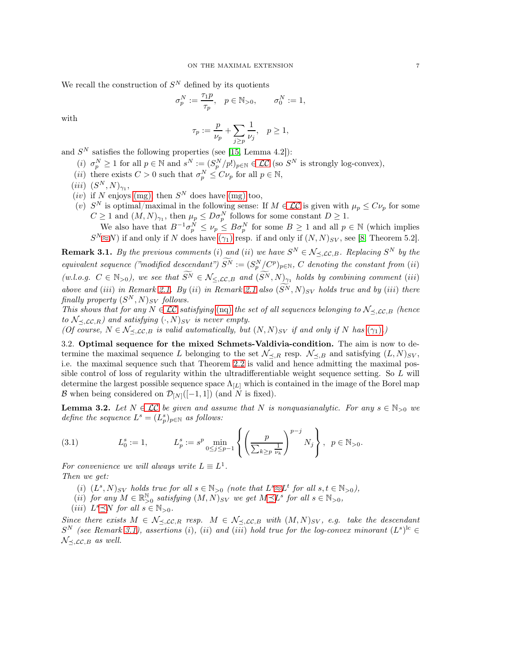We recall the construction of  $S<sup>N</sup>$  defined by its quotients

$$
\sigma_p^N:=\frac{\tau_1p}{\tau_p},\quad p\in\mathbb{N}_{>0},\qquad \sigma_0^N:=1,
$$

with

$$
\tau_p := \frac{p}{\nu_p} + \sum_{j \ge p} \frac{1}{\nu_j}, \quad p \ge 1,
$$

and  $S<sup>N</sup>$  satisfies the following properties (see [\[15,](#page-25-7) Lemma 4.2]):

- (i)  $\sigma_p^N \geq 1$  for all  $p \in \mathbb{N}$  and  $s^N := (S_p^N/p!)_{p \in \mathbb{N}} \in \mathcal{LC}$  (so  $S^N$  is strongly log-convex),
- (*ii*) there exists  $C > 0$  such that  $\sigma_p^N \leq C \nu_p$  for all  $p \in \mathbb{N}$ ,
- $(iii)$   $(S^N, N)_{\gamma_1},$
- $(iv)$  if N enjoys [\(mg\)](#page-2-3), then  $S<sup>N</sup>$  does have (mg) too,
- (v)  $S^N$  is optimal/maximal in the following sense: If  $M \in \mathcal{LC}$  is given with  $\mu_p \leq C \nu_p$  for some  $C \geq 1$  and  $(M, N)_{\gamma_1}$ , then  $\mu_p \leq D \sigma_p^N$  follows for some constant  $D \geq 1$ .

We also have that  $B^{-1}\sigma_p^N \leq \nu_p \leq B\sigma_p^N$  for some  $B \geq 1$  and all  $p \in \mathbb{N}$  (which implies  $S^{N} \approx N$ ) if and only if N does have  $(\gamma_1)$  resp. if and only if  $(N, N)_{SV}$ , see [\[8,](#page-25-5) Theorem 5.2].

<span id="page-6-1"></span>**Remark 3.1.** By the previous comments (i) and (ii) we have  $S^N \in \mathcal{N}_{\preceq, \mathcal{LC}, B}$ . Replacing  $S^N$  by the equivalent sequence ("modified descendant")  $S^N := (S_p^N/C^p)_{p \in \mathbb{N}}$ , C denoting the constant from (ii) (w.l.o.g.  $C \in \mathbb{N}_{>0}$ ), we see that  $\widetilde{S}^N \in \mathcal{N}_{\leq, \mathcal{LC}, B}$  and  $(\widetilde{S}^N, N)_{\gamma_1}$  holds by combining comment (iii) above and (iii) in Remark [2.1.](#page-5-1) By (ii) in Remark [2.1](#page-5-1) also  $(\widetilde{S}^N, N)_{SV}$  holds true and by (iii) there finally property  $(S^N, N)_{SV}$  follows.

This shows that for any  $N \in \mathcal{LC}$  satisfying [\(nq\)](#page-4-0) the set of all sequences belonging to  $\mathcal{N}_{\prec, \mathcal{LC},B}$  (hence to  $\mathcal{N}_{\prec, \mathcal{LC}, R}$  and satisfying  $(\cdot, N)_{SV}$  is never empty.

<span id="page-6-0"></span>(Of course,  $N \in \mathcal{N}_{\prec, \mathcal{LC}, B}$  is valid automatically, but  $(N, N)_{SV}$  if and only if N has  $(\gamma_1)$ .)

3.2. Optimal sequence for the mixed Schmets-Valdivia-condition. The aim is now to determine the maximal sequence L belonging to the set  $\mathcal{N}_{\preceq,R}$  resp.  $\mathcal{N}_{\preceq,B}$  and satisfying  $(L, N)_{SV}$ , i.e. the maximal sequence such that Theorem [2.2](#page-5-3) is valid and hence admitting the maximal possible control of loss of regularity within the ultradifferentiable weight sequence setting. So L will determine the largest possible sequence space  $\Lambda_{[L]}$  which is contained in the image of the Borel map B when being considered on  $\mathcal{D}_{[N]}([-1, 1])$  (and N is fixed).

<span id="page-6-2"></span>**Lemma 3.2.** Let  $N \in \mathcal{LC}$  be given and assume that N is nonquasianalytic. For any  $s \in \mathbb{N}_{>0}$  we define the sequence  $L^s = (L_p^s)_{p \in \mathbb{N}}$  as follows:

<span id="page-6-3"></span>(3.1) 
$$
L_0^s := 1, \qquad L_p^s := s^p \min_{0 \le j \le p-1} \left\{ \left( \frac{p}{\sum_{k \ge p} \frac{1}{\nu_k}} \right)^{p-j} N_j \right\}, \ \ p \in \mathbb{N}_{>0}.
$$

For convenience we will always write  $L \equiv L^1$ . Then we get:

- (i)  $(L^s, N)_{SV}$  holds true for all  $s \in \mathbb{N}_{>0}$  (note that  $L^s \approx L^t$  for all  $s, t \in \mathbb{N}_{>0}$ ),
- (ii) for any  $M \in \mathbb{R}_{>0}^{\mathbb{N}}$  satisfying  $(M, N)_{SV}$  we get  $M \preceq L^s$  for all  $s \in \mathbb{N}_{>0}$ ,
- (iii)  $L^s \preceq N$  for all  $s \in \mathbb{N}_{>0}$ .

Since there exists  $M \in \mathcal{N}_{\preceq, \mathcal{LC}, R}$  resp.  $M \in \mathcal{N}_{\preceq, \mathcal{LC}, B}$  with  $(M, N)_{SV}$ , e.g. take the descendant  $S^N$  (see Remark [3.1\)](#page-6-1), assertions (i), (ii) and (iii) hold true for the log-convex minorant  $(L^s)^{lc} \in$  $\mathcal{N}_{\prec, \mathcal{LC}, B}$  as well.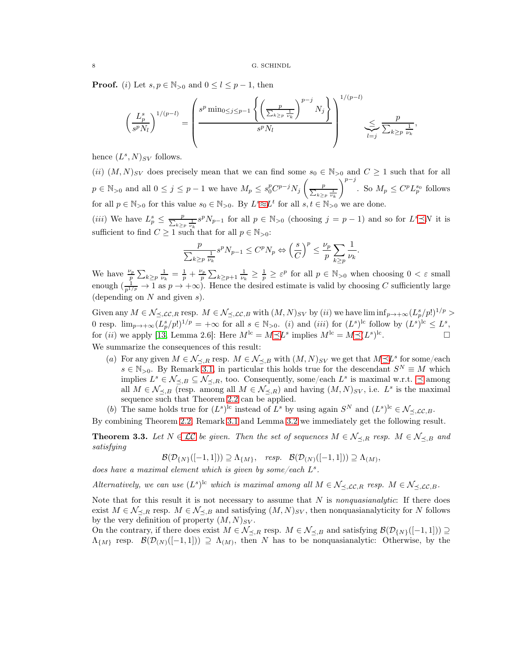**Proof.** (i) Let  $s, p \in \mathbb{N}_{>0}$  and  $0 \leq l \leq p-1$ , then

$$
\left(\frac{L_p^s}{s^p N_l}\right)^{1/(p-l)} = \left(\frac{s^p \min_{0 \le j \le p-1} \left\{ \left(\frac{p}{\sum_{k \ge p} \frac{1}{\nu_k}}\right)^{p-j} N_j \right\}}{s^p N_l}\right)^{1/(p-l)} \sum_{l=j}^{\infty} \frac{p}{\sum_{k \ge p} \frac{1}{\nu_k}},
$$

hence  $(L^s, N)_{SV}$  follows.

(ii)  $(M, N)_{SV}$  does precisely mean that we can find some  $s_0 \in \mathbb{N}_{>0}$  and  $C \geq 1$  such that for all  $p \in \mathbb{N}_{>0}$  and all  $0 \leq j \leq p-1$  we have  $M_p \leq s_0^p C^{p-j} N_j \left( \frac{p}{\sum_{k \geq p} \frac{1}{\nu_k}} \right)$  $\setminus^{p-j}$ . So  $M_p \leq C^p L_p^{s_0}$  follows for all  $p \in \mathbb{N}_{>0}$  for this value  $s_0 \in \mathbb{N}_{>0}$ . By  $L^s \approx L^t$  for all  $s, t \in \mathbb{N}_{>0}$  we are done.

(*iii*) We have  $L_p^s \leq \frac{p}{\sum_{k\geq p} \frac{1}{\nu_k} s^p N_{p-1}}$  for all  $p \in \mathbb{N}_{>0}$  (choosing  $j = p-1$ ) and so for  $L^s \preceq N$  it is sufficient to find  $C \geq 1$  such that for all  $p \in \mathbb{N}_{>0}$ :

$$
\frac{p}{\sum_{k\geq p} \frac{1}{\nu_k}} s^p N_{p-1} \leq C^p N_p \Leftrightarrow \left(\frac{s}{C}\right)^p \leq \frac{\nu_p}{p} \sum_{k\geq p} \frac{1}{\nu_k}
$$

.

We have  $\frac{\nu_p}{p} \sum_{k \geq p} \frac{1}{\nu_k} = \frac{1}{p} + \frac{\nu_p}{p} \sum_{k \geq p+1} \frac{1}{\nu_k} \geq \frac{1}{p} \geq \varepsilon^p$  for all  $p \in \mathbb{N}_{>0}$  when choosing  $0 < \varepsilon$  small enough  $(\frac{1}{p^{1/p}} \to 1 \text{ as } p \to +\infty)$ . Hence the desired estimate is valid by choosing C sufficiently large (depending on  $N$  and given  $s$ ).

Given any  $M \in \mathcal{N}_{\preceq, \mathcal{LC}, R}$  resp.  $M \in \mathcal{N}_{\preceq, \mathcal{LC}, B}$  with  $(M, N)_{SV}$  by  $(ii)$  we have  $\liminf_{p \to +\infty} (L_p^s/p!)^{1/p} >$ 0 resp.  $\lim_{p\to+\infty} (L_p^s/p!)^{1/p} = +\infty$  for all  $s \in \mathbb{N}_{>0}$ . (i) and (iii) for  $(L^s)^{lc}$  follow by  $(L^s)^{lc} \leq L^s$ , for (*ii*) we apply [\[13,](#page-25-12) Lemma 2.6]: Here  $M^{\text{lc}} = M \preceq L^s$  implies  $M^{\text{lc}} = M \preceq (L^s)^{\text{lc}}$ . — Первый профессиональный стандарт и профессиональный стандарт и профессиональный стандарт и профессиональны<br>В сервисов с профессиональный стандарт и профессиональный стандарт и профессиональный стандарт и профессиональ We summarize the consequences of this result:

- (a) For any given  $M \in \mathcal{N}_{\preceq,R}$  resp.  $M \in \mathcal{N}_{\preceq,B}$  with  $(M,N)_{SV}$  we get that  $M \preceq L^s$  for some/each  $s \in \mathbb{N}_{>0}$ . By Remark [3.1,](#page-6-1) in particular this holds true for the descendant  $S^N \equiv M$  which implies  $L^s \in \mathcal{N}_{\preceq,B} \subseteq \mathcal{N}_{\preceq,R}$ , too. Consequently, some/each  $L^s$  is maximal w.r.t.  $\preceq$  among all  $M \in \mathcal{N}_{\preceq,B}$  (resp. among all  $M \in \mathcal{N}_{\preceq,R}$ ) and having  $(M,N)_{SV}$ , i.e.  $L^s$  is the maximal sequence such that Theorem [2.2](#page-5-3) can be applied.
- (b) The same holds true for  $(L^s)^{lc}$  instead of  $L^s$  by using again  $S^N$  and  $(L^s)^{lc} \in \mathcal{N}_{\preceq, \mathcal{LC}, B}$ .

By combining Theorem [2.2,](#page-5-3) Remark [3.1](#page-6-1) and Lemma [3.2](#page-6-2) we immediately get the following result.

<span id="page-7-0"></span>**Theorem 3.3.** Let  $N \in \mathcal{LC}$  be given. Then the set of sequences  $M \in \mathcal{N}_{\prec,R}$  resp.  $M \in \mathcal{N}_{\prec,B}$  and satisfying

$$
\mathcal{B}(\mathcal{D}_{\{N\}}([-1,1])) \supseteq \Lambda_{\{M\}}, \quad resp. \quad \mathcal{B}(\mathcal{D}_{(N)}([-1,1])) \supseteq \Lambda_{(M)},
$$

does have a maximal element which is given by some/each  $L^s$ .

Alternatively, we can use  $(L^s)^{lc}$  which is maximal among all  $M \in \mathcal{N}_{\preceq, \mathcal{LC}, R}$  resp.  $M \in \mathcal{N}_{\preceq, \mathcal{LC}, B}$ .

Note that for this result it is not necessary to assume that  $N$  is nonquasianalytic: If there does exist  $M \in \mathcal{N}_{\prec,R}$  resp.  $M \in \mathcal{N}_{\prec,B}$  and satisfying  $(M, N)_{SV}$ , then nonquasianalyticity for N follows by the very definition of property  $(M, N)_{SV}$ .

On the contrary, if there does exist  $M \in \mathcal{N}_{\prec,R}$  resp.  $M \in \mathcal{N}_{\prec,B}$  and satisfying  $\mathcal{B}(\mathcal{D}_{\{N\}}([-1,1])) \supseteq$  $\Lambda_{\{M\}}$  resp.  $\mathcal{B}(\mathcal{D}_{(N)}([-1,1])) \supseteq \Lambda_{(M)}$ , then N has to be nonquasianalytic: Otherwise, by the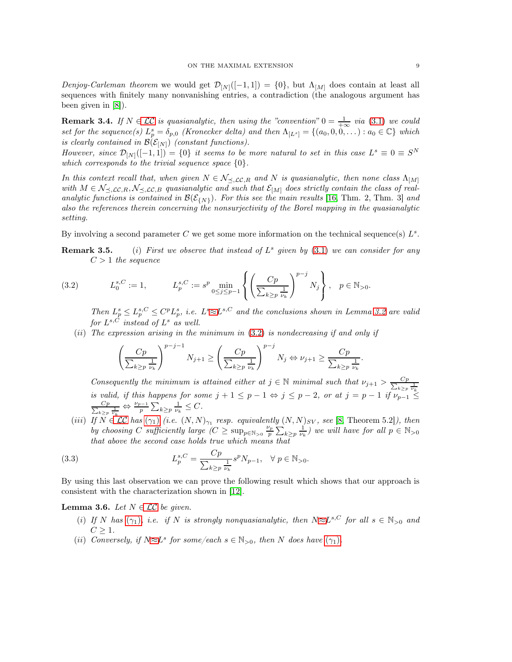Denjoy-Carleman theorem we would get  $\mathcal{D}_{[N]}([-1, 1]) = \{0\}$ , but  $\Lambda_{[M]}$  does contain at least all sequences with finitely many nonvanishing entries, a contradiction (the analogous argument has been given in [\[8\]](#page-25-5)).

<span id="page-8-2"></span>**Remark 3.4.** If  $N \in \mathcal{LC}$  is quasianalytic, then using the "convention"  $0 = \frac{1}{+\infty}$  via [\(3.1\)](#page-6-3) we could set for the sequence(s)  $L_p^s = \delta_{p,0}$  (Kronecker delta) and then  $\Lambda_{[L^s]} = \{(a_0, 0, 0, ...) : a_0 \in \mathbb{C}\}\$  which is clearly contained in  $\mathcal{B}(\mathcal{E}_{[N]})$  (constant functions).

However, since  $\mathcal{D}_{[N]}([-1,1]) = \{0\}$  it seems to be more natural to set in this case  $L^s \equiv 0 \equiv S^N$ which corresponds to the trivial sequence space  $\{0\}$ .

In this context recall that, when given  $N \in \mathcal{N}_{\leq, \mathcal{LC}, R}$  and N is quasianalytic, then none class  $\Lambda_{[M]}$ with  $M \in \mathcal{N}_{\preceq, \mathcal{LC}, R}, \mathcal{N}_{\preceq, \mathcal{LC}, B}$  quasianalytic and such that  $\mathcal{E}_{[M]}$  does strictly contain the class of realanalytic functions is contained in  $\mathcal{B}(\mathcal{E}_{\{N\}})$ . For this see the main results [\[16,](#page-25-14) Thm. 2, Thm. 3] and also the references therein concerning the nonsurjectivity of the Borel mapping in the quasianalytic setting.

By involving a second parameter C we get some more information on the technical sequence(s)  $L^s$ .

**Remark 3.5.** (i) First we observe that instead of  $L^s$  given by [\(3.1\)](#page-6-3) we can consider for any  $C > 1$  the sequence

(3.2) 
$$
L_0^{s,C} := 1,
$$
  $L_p^{s,C} := s^p \min_{0 \le j \le p-1} \left\{ \left( \frac{Cp}{\sum_{k \ge p} \frac{1}{\nu_k}} \right)^{p-j} N_j \right\}, \quad p \in \mathbb{N}_{>0}.$ 

<span id="page-8-0"></span>Then  $L_p^s \leq L_p^{s,C} \leq C^p L_p^s$ , i.e.  $L^s \approx L^{s,C}$  and the conclusions shown in Lemma [3.2](#page-6-2) are valid for  $L^{s,C}$  instead of  $L^s$  as well.

(ii) The expression arising in the minimum in  $(3.2)$  is nondecreasing if and only if

$$
\left(\frac{Cp}{\sum_{k\geq p} \frac{1}{\nu_k}}\right)^{p-j-1} N_{j+1} \geq \left(\frac{Cp}{\sum_{k\geq p} \frac{1}{\nu_k}}\right)^{p-j} N_j \Leftrightarrow \nu_{j+1} \geq \frac{Cp}{\sum_{k\geq p} \frac{1}{\nu_k}}.
$$

Consequently the minimum is attained either at  $j \in \mathbb{N}$  minimal such that  $\nu_{j+1} > \frac{C_p}{\sum_{i=1}^{n} C_i}$  $k$  is valid, if this happens for some  $j + 1 \leq p - 1 \Leftrightarrow j \leq p - 2$ , or at  $j = p - 1$  if  $\nu_{p-1} \leq p - 1$  $rac{Cp}{\sum_{i=1}^{n}c_i}$  $\frac{Cp}{\sum_{k\geq p} \frac{1}{\nu_k}} \Leftrightarrow \frac{\nu_{p-1}}{p}$  $\frac{p-1}{p}\sum_{k\geq p}\frac{1}{\nu_k}\leq C.$ 

<span id="page-8-1"></span>(iii) If  $N \in \mathcal{LC}$  has  $(\gamma_1)$  (i.e.  $(N, N)_{\gamma_1}$  resp. equivalently  $(N, N)_{SV}$ , see [\[8,](#page-25-5) Theorem 5.2]), then by choosing C sufficiently large  $(C \ge \sup_{p \in \mathbb{N}_{>0}} \frac{\nu_p}{p} \sum_{k \ge p} \frac{1}{\nu_k}$  we will have for all  $p \in \mathbb{N}_{>0}$ that above the second case holds true which means that

(3.3) 
$$
L_p^{s,C} = \frac{Cp}{\sum_{k \ge p} \frac{1}{\nu_k}} s^p N_{p-1}, \quad \forall \ p \in \mathbb{N}_{>0}.
$$

By using this last observation we can prove the following result which shows that our approach is consistent with the characterization shown in [\[12\]](#page-25-2).

<span id="page-8-3"></span>**Lemma 3.6.** Let  $N \in \mathcal{LC}$  be given.

- (i) If N has  $(\gamma_1)$ , i.e. if N is strongly nonquasianalytic, then  $N \approx L^{s,C}$  for all  $s \in \mathbb{N}_{>0}$  and  $C \geq 1$ .
- (ii) Conversely, if  $N \approx L^s$  for some/each  $s \in \mathbb{N}_{>0}$ , then N does have  $(\gamma_1)$ .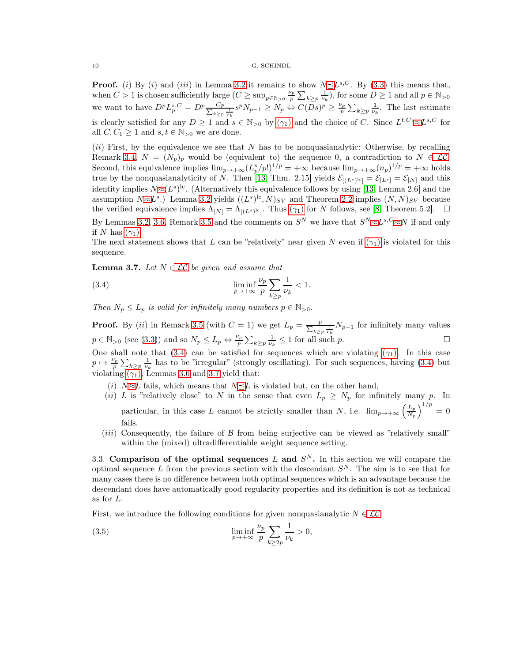**Proof.** (i) By (i) and (iii) in Lemma [3.2](#page-6-2) it remains to show  $N \leq L^{s,C}$ . By [\(3.3\)](#page-8-1) this means that, when  $C > 1$  is chosen sufficiently large  $(C \ge \sup_{p \in \mathbb{N}_{>0}} \frac{\nu_p}{p} \sum_{k \ge p} \frac{1}{\nu_k}$ , for some  $D \ge 1$  and all  $p \in \mathbb{N}_{>0}$ we want to have  $D^p L_p^{s,C} = D^p \frac{C_p}{\sum_{k=1}^{\infty} P_k}$  $\frac{Cp}{\kappa \geq p} \frac{1}{\nu_k} s^p N_{p-1} \geq N_p \Leftrightarrow C(Ds)^p \geq \frac{\nu_p}{p} \sum_{k \geq p} \frac{1}{\nu_k}$ . The last estimate is clearly satisfied for any  $D \geq 1$  and  $s \in \mathbb{N}_{>0}$  by  $(\gamma_1)$  and the choice of C. Since  $L^{t,C_1} \approx L^{s,C}$  for all  $C, C_1 \geq 1$  and  $s, t \in \mathbb{N}_{>0}$  we are done.

 $(ii)$  First, by the equivalence we see that N has to be nonquasianalytic: Otherwise, by recalling Remark [3.4,](#page-8-2)  $N = (N_p)_p$  would be (equivalent to) the sequence 0, a contradiction to  $N \in \mathcal{LC}$ . Second, this equivalence implies  $\lim_{p\to+\infty} (L_p^s/p!)^{1/p} = +\infty$  because  $\lim_{p\to+\infty} (n_p)^{1/p} = +\infty$  holds true by the nonquasianalyticity of N. Then [\[13,](#page-25-12) Thm. 2.15] yields  $\mathcal{E}_{[(L^s)^{1c}]} = \mathcal{E}_{[L^s]} = \mathcal{E}_{[N]}$  and this identity implies  $N \approx (L^s)^{lc}$ . (Alternatively this equivalence follows by using [\[13,](#page-25-12) Lemma 2.6] and the assumption  $N \approx L^s$ .) Lemma [3.2](#page-6-2) yields  $((L^s)^{lc}, N)_{SV}$  and Theorem [2.2](#page-5-3) implies  $(N, N)_{SV}$  because the verified equivalence implies  $\Lambda_{[N]} = \Lambda_{[(L^s)^{1c}]}$ . Thus  $(\gamma_1)$  for N follows, see [\[8,](#page-25-5) Theorem 5.2].  $\Box$ By Lemmas [3.2,](#page-6-2) [3.6,](#page-8-3) Remark 3.5 and the comments on  $S^N$  we have that  $S^N \approx L^{s,C} \approx N$  if and only if N has  $(\gamma_1)$ .

The next statement shows that L can be "relatively" near given N even if  $(\gamma_1)$  is violated for this sequence.

<span id="page-9-2"></span>**Lemma 3.7.** Let  $N \in \mathcal{LC}$  be given and assume that

<span id="page-9-1"></span>(3.4) 
$$
\liminf_{p \to +\infty} \frac{\nu_p}{p} \sum_{k \ge p} \frac{1}{\nu_k} < 1.
$$

Then  $N_p \leq L_p$  is valid for infinitely many numbers  $p \in \mathbb{N}_{>0}$ .

**Proof.** By (*ii*) in Remark 3.5 (with  $C = 1$ ) we get  $L_p = \frac{p}{\sum_{k \geq p} \frac{1}{\nu_k}} N_{p-1}$  for infinitely many values  $p \in \mathbb{N}_{>0}$  (see [\(3.3\)](#page-8-1)) and so  $N_p \leq L_p \Leftrightarrow \frac{\nu_p}{p}$  $\frac{\gamma_p}{p} \sum_{k \geq p} \frac{1}{\nu_k} \leq 1$  for all such p.

One shall note that [\(3.4\)](#page-9-1) can be satisfied for sequences which are violating  $(\gamma_1)$ . In this case  $p \mapsto \frac{\nu_p}{n}$  $\frac{\gamma_p}{p} \sum_{k \geq p} \frac{1}{\nu_k}$  has to be "irregular" (strongly oscillating). For such sequences, having [\(3.4\)](#page-9-1) but violating  $(\gamma_1)$ , Lemmas [3.6](#page-8-3) and [3.7](#page-9-2) yield that:

- (i)  $N \approx L$  fails, which means that  $N \preceq L$  is violated but, on the other hand,
- (ii) L is "relatively close" to N in the sense that even  $L_p \geq N_p$  for infinitely many p. In particular, in this case L cannot be strictly smaller than N, i.e.  $\lim_{p\to+\infty}\left(\frac{L_p}{N_p}\right)$  $N_p$  $\big)^{1/p} = 0$ fails.
- (*iii*) Consequently, the failure of  $\beta$  from being surjective can be viewed as "relatively small" within the (mixed) ultradifferentiable weight sequence setting.

<span id="page-9-0"></span>3.3. Comparison of the optimal sequences L and  $S<sup>N</sup>$ . In this section we will compare the optimal sequence L from the previous section with the descendant  $S<sup>N</sup>$ . The aim is to see that for many cases there is no difference between both optimal sequences which is an advantage because the descendant does have automatically good regularity properties and its definition is not as technical as for L.

First, we introduce the following conditions for given nonquasianalytic  $N \in \mathcal{LC}$ :

<span id="page-9-3"></span>(3.5) 
$$
\liminf_{p \to +\infty} \frac{\nu_p}{p} \sum_{k \ge 2p} \frac{1}{\nu_k} > 0,
$$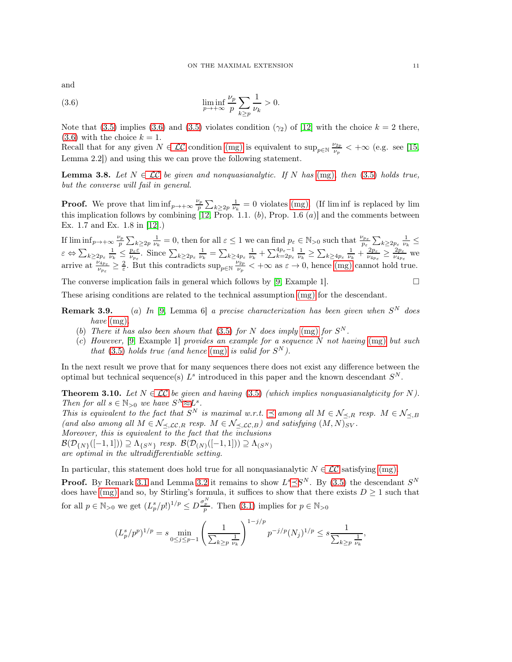and

<span id="page-10-1"></span>(3.6) 
$$
\liminf_{p \to +\infty} \frac{\nu_p}{p} \sum_{k \ge p} \frac{1}{\nu_k} > 0.
$$

Note that [\(3.5\)](#page-9-3) implies [\(3.6\)](#page-10-1) and (3.5) violates condition ( $\gamma_2$ ) of [\[12\]](#page-25-2) with the choice  $k = 2$  there,  $(3.6)$  with the choice  $k = 1$ .

Recall that for any given  $N \in \mathcal{LC}$  condition [\(mg\)](#page-2-3) is equivalent to sup<sub>p $\infty$ </sub>  $\frac{\nu_{2p}}{\nu_p}$  $\frac{\gamma_{2p}}{\nu_p}$  < + $\infty$  (e.g. see [\[15,](#page-25-7) Lemma 2.2]) and using this we can prove the following statement.

<span id="page-10-2"></span>**Lemma 3.8.** Let  $N \in \mathcal{LC}$  be given and nonquasianalytic. If N has [\(mg\)](#page-2-3), then [\(3.5\)](#page-9-3) holds true, but the converse will fail in general.

**Proof.** We prove that  $\liminf_{p\to+\infty}\frac{\nu_p}{p}$  $\frac{\gamma_p}{p} \sum_{k \geq 2p} \frac{1}{\nu_k} = 0$  violates [\(mg\)](#page-2-3). (If liminf is replaced by lim this implication follows by combining [\[12,](#page-25-2) Prop. 1.1.  $(b)$ , Prop. 1.6  $(a)$ ] and the comments between Ex. 1.7 and Ex. 1.8 in [\[12\]](#page-25-2).)

If  $\liminf_{p\to+\infty}\frac{\nu_p}{n}$  $\frac{p_p}{p} \sum_{k \geq 2p} \frac{1}{\nu_k} = 0$ , then for all  $\varepsilon \leq 1$  we can find  $p_{\varepsilon} \in \mathbb{N}_{>0}$  such that  $\frac{\nu_{p_{\varepsilon}}}{p_{\varepsilon}} \sum_{k \geq 2p_{\varepsilon}} \frac{1}{\nu_k} \leq$  $\varepsilon \Leftrightarrow \sum_{k\geq 2p_{\varepsilon}}\frac{1}{\nu_{k}}\leq \frac{p_{\varepsilon}\varepsilon}{\nu_{p_{\varepsilon}}}.$  Since  $\sum_{k\geq 2p_{\varepsilon}}\frac{1}{\nu_{k}}=\sum_{k\geq 4p_{\varepsilon}}\frac{1}{\nu_{k}}+\sum_{k=2p_{\varepsilon}}^{4p_{\varepsilon}-1}\frac{1}{\nu_{k}}\geq \sum_{k\geq 4p_{\varepsilon}}\frac{1}{\nu_{k}}+\frac{2p_{\varepsilon}}{\nu_{4p_{\varepsilon}}}\geq \frac{2p_{\varepsilon$ arrive at  $\frac{\nu_{4p_{\varepsilon}}}{\nu_{p_{\varepsilon}}} \geq \frac{2}{\varepsilon}$ . But this contradicts sup<sub>p</sub><sub>EN</sub>  $\frac{\nu_{2p}}{\nu_p}$  $v_p^{\nu_{2p}} < +\infty$  as  $\varepsilon \to 0$ , hence [\(mg\)](#page-2-3) cannot hold true.

The converse implication fails in general which follows by [\[9,](#page-25-8) Example 1].

$$
\qquad \qquad \Box
$$

These arising conditions are related to the technical assumption [\(mg\)](#page-2-3) for the descendant.

- **Remark 3.9.** (a) In [\[9,](#page-25-8) Lemma 6] a precise characterization has been given when  $S<sup>N</sup>$  does have  $(mg)$ .
	- (b) There it has also been shown that [\(3.5\)](#page-9-3) for N does imply [\(mg\)](#page-2-3) for  $S<sup>N</sup>$ .
	- (c) However, [\[9,](#page-25-8) Example 1] provides an example for a sequence N not having  $(mg)$  but such that [\(3.5\)](#page-9-3) holds true (and hence [\(mg\)](#page-2-3) is valid for  $S^N$ ).

In the next result we prove that for many sequences there does not exist any difference between the optimal but technical sequence(s)  $L^s$  introduced in this paper and the known descendant  $S^N$ .

<span id="page-10-0"></span>**Theorem 3.10.** Let  $N \in \mathcal{LC}$  be given and having [\(3.5\)](#page-9-3) (which implies nonquasianalyticity for N). Then for all  $s \in \mathbb{N}_{>0}$  we have  $S^N \approx L^s$ .

This is equivalent to the fact that  $S^N$  is maximal w.r.t.  $\preceq$  among all  $M \in \mathcal{N}_{\preceq,R}$  resp.  $M \in \mathcal{N}_{\preceq,B}$ (and also among all  $M \in \mathcal{N}_{\preceq, \mathcal{LC}, R}$  resp.  $M \in \mathcal{N}_{\preceq, \mathcal{LC}, B}$ ) and satisfying  $(M, N)_{SV}$ . Moreover, this is equivalent to the fact that the inclusions

 $\mathcal{B}(\mathcal{D}_{\{N\}}([-1, 1])) \supseteq \Lambda_{\{S^N\}}$  resp.  $\mathcal{B}(\mathcal{D}_{(N)}([-1, 1])) \supseteq \Lambda_{(S^N)}$ 

are optimal in the ultradifferentiable setting.

In particular, this statement does hold true for all nonquasianalytic  $N \in \mathcal{LC}$  satisfying [\(mg\)](#page-2-3).

**Proof.** By Remark [3.1](#page-6-1) and Lemma [3.2](#page-6-2) it remains to show  $L^s \preceq S^N$ . By [\(3.5\)](#page-9-3) the descendant  $S^N$ does have [\(mg\)](#page-2-3) and so, by Stirling's formula, it suffices to show that there exists  $D \geq 1$  such that for all  $p \in \mathbb{N}_{>0}$  we get  $(L_p^s/p!)^{1/p} \leq D \frac{\sigma_p^N}{p}$ . Then  $(3.1)$  implies for  $p \in \mathbb{N}_{>0}$ 

$$
(L_p^s/p^p)^{1/p} = s \min_{0 \le j \le p-1} \left( \frac{1}{\sum_{k \ge p} \frac{1}{\nu_k}} \right)^{1-j/p} p^{-j/p} (N_j)^{1/p} \le s \frac{1}{\sum_{k \ge p} \frac{1}{\nu_k}},
$$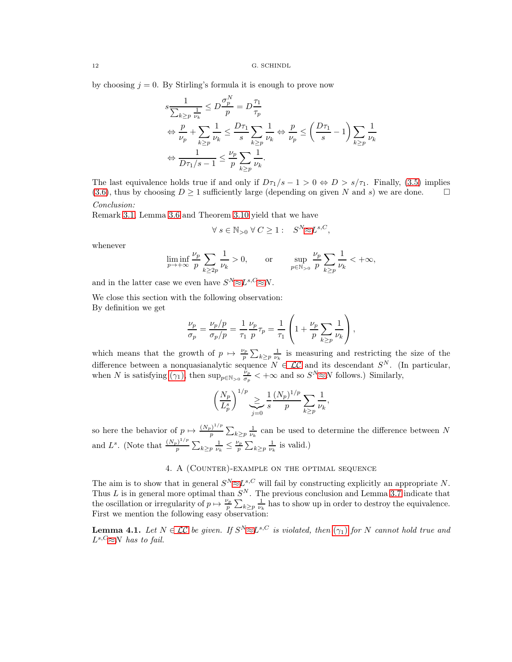by choosing  $j = 0$ . By Stirling's formula it is enough to prove now

$$
s \frac{1}{\sum_{k \ge p} \frac{1}{\nu_k}} \le D \frac{\sigma_p^N}{p} = D \frac{\tau_1}{\tau_p}
$$
  
\n
$$
\Leftrightarrow \frac{p}{\nu_p} + \sum_{k \ge p} \frac{1}{\nu_k} \le \frac{D\tau_1}{s} \sum_{k \ge p} \frac{1}{\nu_k} \Leftrightarrow \frac{p}{\nu_p} \le \left(\frac{D\tau_1}{s} - 1\right) \sum_{k \ge p} \frac{1}{\nu_k}
$$
  
\n
$$
\Leftrightarrow \frac{1}{D\tau_1/s - 1} \le \frac{\nu_p}{p} \sum_{k \ge p} \frac{1}{\nu_k}.
$$

The last equivalence holds true if and only if  $D_{\tau_1}/s - 1 > 0 \Leftrightarrow D > s/\tau_1$ . Finally, [\(3.5\)](#page-9-3) implies [\(3.6\)](#page-10-1), thus by choosing  $D \ge 1$  sufficiently large (depending on given N and s) we are done.  $\square$ Conclusion:

Remark [3.1,](#page-6-1) Lemma [3.6](#page-8-3) and Theorem [3.10](#page-10-0) yield that we have

$$
\forall s \in \mathbb{N}_{>0} \ \forall \ C \ge 1: \quad S^N \approx L^{s,C},
$$

whenever

$$
\liminf_{p\to+\infty}\frac{\nu_p}{p}\sum_{k\geq 2p}\frac{1}{\nu_k}>0,\qquad\text{or}\qquad \sup_{p\in\mathbb{N}_{>0}}\frac{\nu_p}{p}\sum_{k\geq p}\frac{1}{\nu_k}<+\infty,
$$

and in the latter case we even have  $S^N \approx L^{s,C} \approx N$ .

We close this section with the following observation: By definition we get

$$
\frac{\nu_p}{\sigma_p} = \frac{\nu_p/p}{\sigma_p/p} = \frac{1}{\tau_1} \frac{\nu_p}{p} \tau_p = \frac{1}{\tau_1} \left( 1 + \frac{\nu_p}{p} \sum_{k \ge p} \frac{1}{\nu_k} \right),
$$

which means that the growth of  $p \mapsto \frac{\nu_p}{p}$  $\frac{\gamma_p}{p} \sum_{k \geq p} \frac{1}{\nu_k}$  is measuring and restricting the size of the difference between a nonquasianalytic sequence  $N \in \mathcal{LC}$  and its descendant  $S^N$ . (In particular, when N is satisfying  $(\gamma_1)$ , then sup<sub>p $\in \mathbb{N}_{>0}$ </sub>  $\frac{\nu_p}{\sigma_v}$  $\frac{\nu_p}{\sigma_p}$  < + $\infty$  and so  $S^N \approx N$  follows.) Similarly,

$$
\left(\frac{N_p}{L_p^s}\right)^{1/p} \sum_{j=0}^{\infty} \frac{1}{s} \frac{(N_p)^{1/p}}{p} \sum_{k \ge p} \frac{1}{\nu_k},
$$

so here the behavior of  $p \mapsto \frac{(N_p)^{1/p}}{p}$  $\frac{p^{1/p}}{p} \sum_{k \geq p} \frac{1}{\nu_k}$  can be used to determine the difference between N and  $L^s$ . (Note that  $\frac{(N_p)^{1/p}}{n}$  $\frac{p}{p}^{\frac{1}{p}}\sum_{k\geq p}\frac{1}{\nu_k}\leq \frac{\nu_p}{p}$  $\frac{\gamma_p}{p} \sum_{k \geq p} \frac{1}{\nu_k}$  is valid.)

# 4. A (Counter)-example on the optimal sequence

<span id="page-11-0"></span>The aim is to show that in general  $S^N \approx L^{s,C}$  will fail by constructing explicitly an appropriate N. Thus L is in general more optimal than  $S<sup>N</sup>$ . The previous conclusion and Lemma [3.7](#page-9-2) indicate that the oscillation or irregularity of  $p \mapsto \frac{\nu_p}{p}$  $\frac{\sqrt{p}}{p} \sum_{k \geq p} \frac{1}{\nu_k}$  has to show up in order to destroy the equivalence. First we mention the following easy observation:

**Lemma 4.1.** Let  $N \in \mathcal{LC}$  be given. If  $S^N \approx L^{s,C}$  is violated, then  $(\gamma_1)$  for N cannot hold true and  $L^{s,C} \approx N$  has to fail.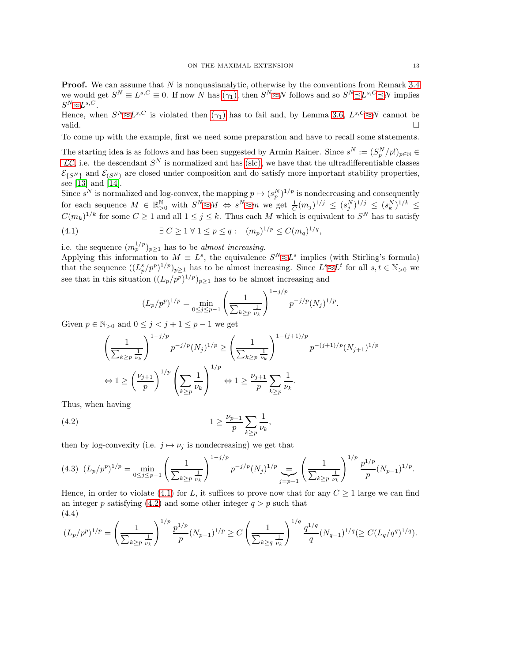**Proof.** We can assume that  $N$  is nonquasianalytic, otherwise by the conventions from Remark [3.4](#page-8-2) we would get  $S^N \equiv L^{s,C} \equiv 0$ . If now N has  $(\gamma_1)$ , then  $S^N \approx N$  follows and so  $S^N \preceq L^{s,C} \preceq N$  implies  $S^{N}\!\!\approx\!\!L^{s,C}.$ 

Hence, when  $S^N \approx L^{s,C}$  is violated then  $(\gamma_1)$  has to fail and, by Lemma [3.6,](#page-8-3)  $L^{s,C} \approx N$  cannot be valid.  $\square$ 

To come up with the example, first we need some preparation and have to recall some statements.

The starting idea is as follows and has been suggested by Armin Rainer. Since  $s^N := (S_p^N/p!)_{p \in \mathbb{N}} \in$  $\mathcal{LC}$  $\mathcal{LC}$  $\mathcal{LC}$ , i.e. the descendant  $S^N$  is normalized and has ([slc](#page-2-5)), we have that the ultradifferentiable classes  $\mathcal{E}_{\{S^N\}}$  and  $\mathcal{E}_{\{S^N\}}$  are closed under composition and do satisfy more important stability properties, see [\[13\]](#page-25-12) and [\[14\]](#page-25-15).

Since  $s^N$  is normalized and log-convex, the mapping  $p \mapsto (s_p^N)^{1/p}$  is nondecreasing and consequently for each sequence  $M \in \mathbb{R}^{\mathbb{N}}_{>0}$  with  $S^N \approx M \Leftrightarrow s^N \approx m$  we get  $\frac{1}{C}(m_j)^{1/j} \leq (s_j^N)^{1/j} \leq (s_k^N)^{1/k} \leq$  $C(m_k)^{1/k}$  for some  $C \geq 1$  and all  $1 \leq j \leq k$ . Thus each M which is equivalent to  $S^N$  has to satisfy

(4.1) 
$$
\exists C \ge 1 \,\forall 1 \le p \le q: (m_p)^{1/p} \le C(m_q)^{1/q},
$$

i.e. the sequence  $(m_p^{1/p})_{p\geq 1}$  has to be *almost increasing*.

Applying this information to  $M \equiv L^s$ , the equivalence  $S^N \approx L^s$  implies (with Stirling's formula) that the sequence  $((L_p^s/p^p)^{1/p})_{p\geq 1}$  has to be almost increasing. Since  $L^s \approx L^t$  for all  $s, t \in \mathbb{N}_{>0}$  we see that in this situation  $((L_p/p^p)^{1/p})_{p\geq 1}$  has to be almost increasing and

<span id="page-12-0"></span>
$$
(L_p/p^p)^{1/p} = \min_{0 \le j \le p-1} \left(\frac{1}{\sum_{k \ge p} \frac{1}{\nu_k}}\right)^{1-j/p} p^{-j/p} (N_j)^{1/p}.
$$

Given  $p \in \mathbb{N}_{>0}$  and  $0 \leq j < j+1 \leq p-1$  we get

<span id="page-12-1"></span>
$$
\left(\frac{1}{\sum_{k\geq p} \frac{1}{\nu_k}}\right)^{1-j/p} p^{-j/p} (N_j)^{1/p} \geq \left(\frac{1}{\sum_{k\geq p} \frac{1}{\nu_k}}\right)^{1-(j+1)/p} p^{-(j+1)/p} (N_{j+1})^{1/p}
$$
  

$$
\Leftrightarrow 1 \geq \left(\frac{\nu_{j+1}}{p}\right)^{1/p} \left(\sum_{k\geq p} \frac{1}{\nu_k}\right)^{1/p} \Leftrightarrow 1 \geq \frac{\nu_{j+1}}{p} \sum_{k\geq p} \frac{1}{\nu_k}.
$$

Thus, when having

(4.2) 
$$
1 \ge \frac{\nu_{p-1}}{p} \sum_{k \ge p} \frac{1}{\nu_k},
$$

then by log-convexity (i.e.  $j \mapsto \nu_j$  is nondecreasing) we get that

<span id="page-12-2"></span>
$$
(4.3) \ \ (L_p/p^p)^{1/p} = \min_{0 \le j \le p-1} \left( \frac{1}{\sum_{k \ge p} \frac{1}{\nu_k}} \right)^{1-j/p} p^{-j/p} (N_j)^{1/p} = \left( \frac{1}{\sum_{k \ge p} \frac{1}{\nu_k}} \right)^{1/p} \frac{p^{1/p}}{p} (N_{p-1})^{1/p}.
$$

Hence, in order to violate [\(4.1\)](#page-12-0) for L, it suffices to prove now that for any  $C \geq 1$  large we can find an integer p satisfying [\(4.2\)](#page-12-1) and some other integer  $q > p$  such that (4.4)

$$
(L_p/p^p)^{1/p} = \left(\frac{1}{\sum_{k\geq p} \frac{1}{\nu_k}}\right)^{1/p} \frac{p^{1/p}}{p} (N_{p-1})^{1/p} \geq C \left(\frac{1}{\sum_{k\geq q} \frac{1}{\nu_k}}\right)^{1/q} \frac{q^{1/q}}{q} (N_{q-1})^{1/q} (\geq C (L_q/q^q)^{1/q}).
$$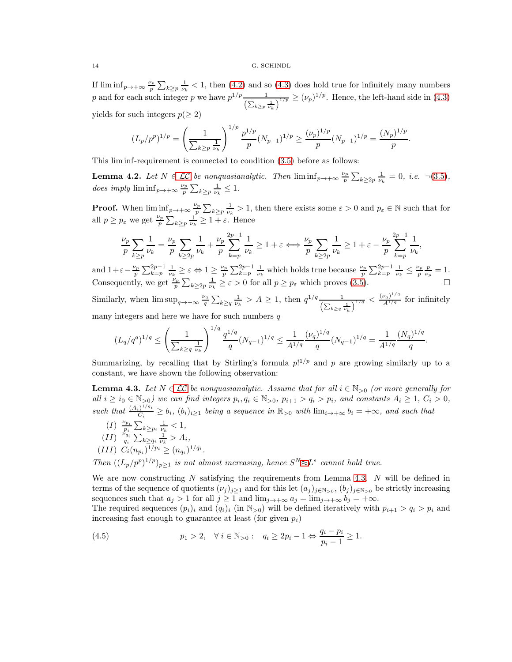If  $\liminf_{p\to+\infty}\frac{\nu_p}{n}$  $\frac{\sqrt{p}}{p} \sum_{k \geq p} \frac{1}{\nu_k} < 1$ , then [\(4.2\)](#page-12-1) and so [\(4.3\)](#page-12-2) does hold true for infinitely many numbers p and for each such integer p we have  $p^{1/p} \frac{1}{(\sum_{k \geq p} \frac{1}{\nu_k})^k}$  $\frac{1}{\sqrt{1/p}} \ge (\nu_p)^{1/p}$ . Hence, the left-hand side in [\(4.3\)](#page-12-2) yields for such integers  $p(\geq 2)$ 

$$
(L_p/p^p)^{1/p} = \left(\frac{1}{\sum_{k \ge p} \frac{1}{\nu_k}}\right)^{1/p} \frac{p^{1/p}}{p} (N_{p-1})^{1/p} \ge \frac{(\nu_p)^{1/p}}{p} (N_{p-1})^{1/p} = \frac{(N_p)^{1/p}}{p}.
$$

This lim inf-requirement is connected to condition [\(3.5\)](#page-9-3) before as follows:

**Lemma 4.2.** Let  $N \in \mathcal{LC}$  be nonquasianalytic. Then  $\liminf_{p \to +\infty} \frac{\nu_p}{p}$  $\frac{\gamma_p}{p} \sum_{k \geq 2p} \frac{1}{\nu_k} = 0, \ i.e. \ \ \neg(3.5),$  $\frac{\gamma_p}{p} \sum_{k \geq 2p} \frac{1}{\nu_k} = 0, \ i.e. \ \ \neg(3.5),$  $\frac{\gamma_p}{p} \sum_{k \geq 2p} \frac{1}{\nu_k} = 0, \ i.e. \ \ \neg(3.5),$ does imply  $\liminf_{p\to+\infty}\frac{\nu_p}{n}$  $\frac{\gamma_p}{p} \sum_{k \geq p} \frac{1}{\nu_k} \leq 1.$ 

**Proof.** When  $\liminf_{p\to+\infty}\frac{\nu_p}{n}$  $\frac{\gamma_p}{p} \sum_{k \geq p} \frac{1}{\nu_k} > 1$ , then there exists some  $\varepsilon > 0$  and  $p_{\varepsilon} \in \mathbb{N}$  such that for all  $p \geq p_{\varepsilon}$  we get  $\frac{\nu_p}{p} \sum_{k \geq p} \frac{1}{\nu_k} \geq 1 + \varepsilon$ . Hence

$$
\frac{\nu_p}{p} \sum_{k \ge p} \frac{1}{\nu_k} = \frac{\nu_p}{p} \sum_{k \ge 2p} \frac{1}{\nu_k} + \frac{\nu_p}{p} \sum_{k=p}^{2p-1} \frac{1}{\nu_k} \ge 1 + \varepsilon \Longleftrightarrow \frac{\nu_p}{p} \sum_{k \ge 2p} \frac{1}{\nu_k} \ge 1 + \varepsilon - \frac{\nu_p}{p} \sum_{k=p}^{2p-1} \frac{1}{\nu_k},
$$

and  $1+\varepsilon-\frac{\nu_p}{n}$  $\frac{\nu_p}{p} \sum_{k=p}^{2p-1} \frac{1}{\nu_k} \geq \varepsilon \Leftrightarrow 1 \geq \frac{\nu_p}{p}$  $\frac{\nu_p}{p} \sum_{k=p}^{2p-1} \frac{1}{\nu_k}$  which holds true because  $\frac{\nu_p}{p} \sum_{k=p}^{2p-1} \frac{1}{\nu_k} \leq \frac{\nu_p}{p}$  $\frac{\gamma_p}{p} \frac{p}{\nu_p} = 1.$ Consequently, we get  $\frac{\nu_p}{p} \sum_{k \geq 2p} \frac{1}{\nu_k} \geq \varepsilon > 0$  for all  $p \geq p_{\varepsilon}$  which proves [\(3.5\)](#page-9-3).

Similarly, when  $\limsup_{q\to+\infty}\frac{\nu_q}{q}$  $\frac{y_q}{q} \sum_{k \geq q} \frac{1}{\nu_k} > A \geq 1$ , then  $q^{1/q} \frac{1}{\left(\sum_{k \geq q} \frac{1}{\nu_k}\right)}$  $\frac{(\nu_q)^{1/q}}{\Lambda^{1/q}}$  for infinitely many integers and here we have for such numbers  $q$ 

$$
(L_q/q^q)^{1/q} \le \left(\frac{1}{\sum_{k\ge q} \frac{1}{\nu_k}}\right)^{1/q} \frac{q^{1/q}}{q} (N_{q-1})^{1/q} \le \frac{1}{A^{1/q}} \frac{(\nu_q)^{1/q}}{q} (N_{q-1})^{1/q} = \frac{1}{A^{1/q}} \frac{(N_q)^{1/q}}{q}.
$$

Summarizing, by recalling that by Stirling's formula  $p!^{1/p}$  and p are growing similarly up to a constant, we have shown the following observation:

<span id="page-13-0"></span>**Lemma 4.3.** Let  $N \in \mathcal{LC}$  be nonquasianalytic. Assume that for all  $i \in \mathbb{N}_{>0}$  (or more generally for all  $i \geq i_0 \in \mathbb{N}_{>0}$ ) we can find integers  $p_i, q_i \in \mathbb{N}_{>0}, p_{i+1} > q_i > p_i$ , and constants  $A_i \geq 1, C_i > 0$ , such that  $\frac{(A_i)^{1/q_i}}{C_i}$  $\frac{1}{C_i} \ge b_i$ ,  $(b_i)_{i \ge 1}$  being a sequence in  $\mathbb{R}_{>0}$  with  $\lim_{i \to +\infty} b_i = +\infty$ , and such that

(I)  $\frac{\nu_{p_i}}{p_i} \sum_{k \geq p_i} \frac{1}{\nu_k} < 1$ ,  $(II) \frac{\dot{v}_{q_i}}{q_i} \sum_{k \geq q_i} \frac{1}{\nu_k} > A_i,$  $(III)$   $C_i(n_{p_i})^{1/p_i} \ge (n_{q_i})^{1/q_i}$ .

Then  $((L_p/p^p)^{1/p})_{p\geq 1}$  is not almost increasing, hence  $S^N \approx L^s$  cannot hold true.

We are now constructing  $N$  satisfying the requirements from Lemma [4.3.](#page-13-0)  $N$  will be defined in terms of the sequence of quotients  $(\nu_j)_{j\geq 1}$  and for this let  $(a_j)_{j\in\mathbb{N}_{>0}}$ ,  $(b_j)_{j\in\mathbb{N}_{>0}}$  be strictly increasing sequences such that  $a_j > 1$  for all  $j \geq 1$  and  $\lim_{j \to +\infty} a_j = \lim_{j \to +\infty} b_j = +\infty$ .

The required sequences  $(p_i)_i$  and  $(q_i)_i$  (in  $\mathbb{N}_{>0}$ ) will be defined iteratively with  $p_{i+1} > q_i > p_i$  and increasing fast enough to guarantee at least (for given  $p_i$ )

<span id="page-13-1"></span>(4.5) 
$$
p_1 > 2, \quad \forall \ i \in \mathbb{N}_{>0}: \quad q_i \ge 2p_i - 1 \Leftrightarrow \frac{q_i - p_i}{p_i - 1} \ge 1.
$$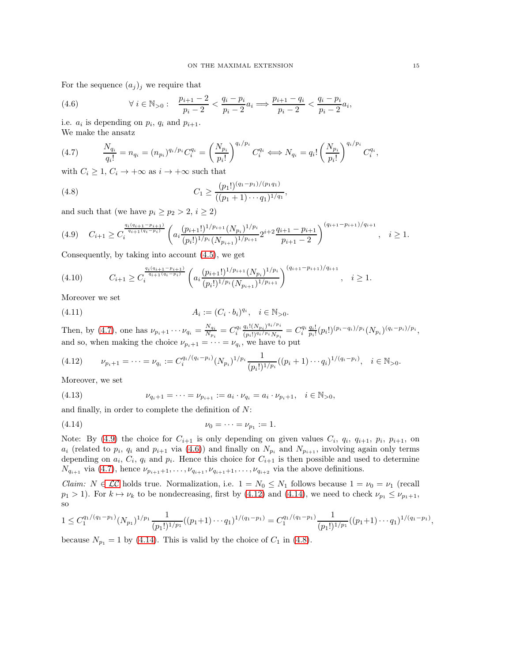For the sequence  $(a_j)_j$  we require that

<span id="page-14-2"></span>(4.6) 
$$
\forall i \in \mathbb{N}_{>0}: \quad \frac{p_{i+1} - 2}{p_i - 2} < \frac{q_i - p_i}{p_i - 2} a_i \Longrightarrow \frac{p_{i+1} - q_i}{p_i - 2} < \frac{q_i - p_i}{p_i - 2} a_i
$$

i.e.  $a_i$  is depending on  $p_i$ ,  $q_i$  and  $p_{i+1}$ . We make the ansatz

<span id="page-14-0"></span>
$$
(4.7) \qquad \frac{N_{q_i}}{q_i!} = n_{q_i} = (n_{p_i})^{q_i/p_i} C_i^{q_i} = \left(\frac{N_{p_i}}{p_i!}\right)^{q_i/p_i} C_i^{q_i} \iff N_{q_i} = q_i! \left(\frac{N_{p_i}}{p_i!}\right)^{q_i/p_i} C_i^{q_i},
$$

with  $C_i \geq 1$ ,  $C_i \rightarrow +\infty$  as  $i \rightarrow +\infty$  such that

<span id="page-14-5"></span>(4.8) 
$$
C_1 \ge \frac{(p_1!)^{(q_1-p_1)/(p_1q_1)}}{((p_1+1)\cdots q_1)^{1/q_1}},
$$

and such that (we have  $p_i \geq p_2 > 2, i \geq 2$ )

<span id="page-14-1"></span>
$$
(4.9) \quad C_{i+1} \ge C_i^{\frac{q_i(q_{i+1}-p_{i+1})}{q_{i+1}(q_i-p_i)}} \left( a_i \frac{(p_{i+1}!)^{1/p_{i+1}} (N_{p_i})^{1/p_i}}{(p_i!)^{1/p_i} (N_{p_{i+1}})^{1/p_{i+1}}} 2^{i+2} \frac{q_{i+1}-p_{i+1}}{p_{i+1}-2} \right)^{(q_{i+1}-p_{i+1})/q_{i+1}}, \quad i \ge 1.
$$

Consequently, by taking into account [\(4.5\)](#page-13-1), we get

<span id="page-14-7"></span>
$$
(4.10) \t C_{i+1} \geq C_i^{\frac{q_i(q_{i+1}-p_{i+1})}{q_{i+1}(q_i-p_i)}} \left( a_i \frac{(p_{i+1}!)^{1/p_{i+1}} (N_{p_i})^{1/p_i}}{(p_i!)^{1/p_i} (N_{p_{i+1}})^{1/p_{i+1}}} \right)^{(q_{i+1}-p_{i+1})/q_{i+1}}, \quad i \geq 1.
$$

Moreover we set

<span id="page-14-8"></span>(4.11) 
$$
A_i := (C_i \cdot b_i)^{q_i}, \quad i \in \mathbb{N}_{>0}.
$$

Then, by [\(4.7\)](#page-14-0), one has  $\nu_{p_i+1} \cdots \nu_{q_i} = \frac{N_{q_i}}{N_{p_i}}$  $\frac{N_{q_i}}{N_{p_i}} = C_i^{q_i} \frac{q_i! (N_{p_i})^{q_i/p_i}}{(p_i!)^{q_i/p_i} N_{p_i}}$  $\frac{q_i! (N_{p_i})^{q_i/\nu_i}}{(p_i!)^{q_i/\nu_i} N_{p_i}} = C_i^{q_i} \frac{q_i!}{p_i!} (p_i!)^{(p_i-q_i)/p_i} (N_{p_i})^{(q_i-p_i)/p_i},$ and so, when making the choice  $\nu_{p_i+1} = \cdots = \nu_{q_i}$ , we have to put

<span id="page-14-3"></span>
$$
(4.12) \qquad \nu_{p_i+1} = \dots = \nu_{q_i} := C_i^{q_i/(q_i - p_i)} (N_{p_i})^{1/p_i} \frac{1}{(p_i!)^{1/p_i}} ((p_i + 1) \cdots q_i)^{1/(q_i - p_i)}, \quad i \in \mathbb{N}_{>0}.
$$

Moreover, we set

<span id="page-14-6"></span>(4.13) 
$$
\nu_{q_i+1} = \cdots = \nu_{p_{i+1}} := a_i \cdot \nu_{q_i} = a_i \cdot \nu_{p_i+1}, \quad i \in \mathbb{N}_{>0},
$$

and finally, in order to complete the definition of N:

<span id="page-14-4"></span>(4.14) 
$$
\nu_0 = \cdots = \nu_{p_1} := 1.
$$

Note: By [\(4.9\)](#page-14-1) the choice for  $C_{i+1}$  is only depending on given values  $C_i$ ,  $q_i$ ,  $q_{i+1}$ ,  $p_i$ ,  $p_{i+1}$ , on  $a_i$  (related to  $p_i$ ,  $q_i$  and  $p_{i+1}$  via [\(4.6\)](#page-14-2)) and finally on  $N_{p_i}$  and  $N_{p_{i+1}}$ , involving again only terms depending on  $a_i$ ,  $C_i$ ,  $q_i$  and  $p_i$ . Hence this choice for  $C_{i+1}$  is then possible and used to determine  $N_{q_{i+1}}$  via [\(4.7\)](#page-14-0), hence  $\nu_{p_{i+1}+1}, \ldots, \nu_{q_{i+1}}, \nu_{q_{i+1}+1}, \ldots, \nu_{q_{i+2}}$  via the above definitions.

*Claim:*  $N \in \mathcal{LC}$  holds true. Normalization, i.e.  $1 = N_0 \leq N_1$  follows because  $1 = \nu_0 = \nu_1$  (recall  $p_1 > 1$ ). For  $k \mapsto \nu_k$  to be nondecreasing, first by [\(4.12\)](#page-14-3) and [\(4.14\)](#page-14-4), we need to check  $\nu_{p_1} \le \nu_{p_1+1}$ , so

$$
1 \leq C_1^{q_1/(q_1-p_1)}(N_{p_1})^{1/p_1} \frac{1}{(p_1!)^{1/p_1}}((p_1+1)\cdots q_1)^{1/(q_1-p_1)} = C_1^{q_1/(q_1-p_1)} \frac{1}{(p_1!)^{1/p_1}}((p_1+1)\cdots q_1)^{1/(q_1-p_1)},
$$

because  $N_{p_1} = 1$  by [\(4.14\)](#page-14-4). This is valid by the choice of  $C_1$  in [\(4.8\)](#page-14-5).

,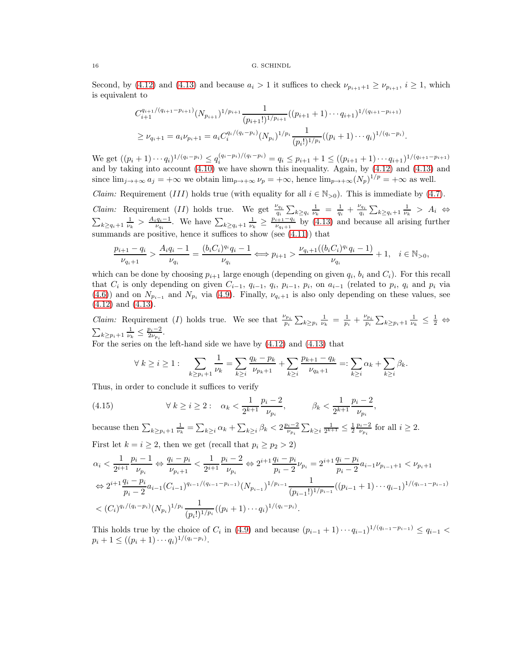Second, by [\(4.12\)](#page-14-3) and [\(4.13\)](#page-14-6) and because  $a_i > 1$  it suffices to check  $\nu_{p_{i+1}+1} \ge \nu_{p_{i+1}}, i \ge 1$ , which is equivalent to

$$
C_{i+1}^{q_{i+1}/(q_{i+1}-p_{i+1})}(N_{p_{i+1}})^{1/p_{i+1}}\frac{1}{(p_{i+1}!)^{1/p_{i+1}}}((p_{i+1}+1)\cdots q_{i+1})^{1/(q_{i+1}-p_{i+1})}
$$
  
\n
$$
\geq \nu_{q_i+1} = a_i \nu_{p_i+1} = a_i C_i^{q_i/(q_i-p_i)}(N_{p_i})^{1/p_i} \frac{1}{(p_i!)^{1/p_i}}((p_i+1)\cdots q_i)^{1/(q_i-p_i)}.
$$

We get  $((p_i+1)\cdots q_i)^{1/(q_i-p_i)} \le q_i^{(q_i-p_i)/(q_i-p_i)} = q_i \le p_{i+1} + 1 \le ((p_{i+1}+1)\cdots q_{i+1})^{1/(q_{i+1}-p_{i+1})}$ and by taking into account [\(4.10\)](#page-14-7) we have shown this inequality. Again, by [\(4.12\)](#page-14-3) and [\(4.13\)](#page-14-6) and since  $\lim_{j\to+\infty} a_j = +\infty$  we obtain  $\lim_{p\to+\infty} \nu_p = +\infty$ , hence  $\lim_{p\to+\infty} (N_p)^{1/p} = +\infty$  as well.

*Claim:* Requirement (III) holds true (with equality for all  $i \in \mathbb{N}_{>0}$ ). This is immediate by [\(4.7\)](#page-14-0). *Claim:* Requirement (II) holds true. We get  $\frac{\nu_{q_i}}{q_i} \sum_{k \ge q_i} \frac{1}{\nu_k} = \frac{1}{q_i} + \frac{\nu_{q_i}}{q_i} \sum_{k \ge q_i+1} \frac{1}{\nu_k} > A_i \Leftrightarrow$  $\sum_{k \ge q_i+1} \frac{1}{\nu_k} > \frac{A_i q_i - 1}{\nu_{q_i}}$ . We have  $\sum_{k \ge q_i+1} \frac{1}{\nu_k} \ge \frac{p_{i+1}-q_i}{\nu_{q_i+1}}$  $\frac{i+1-q_i}{\nu_{q_i+1}}$  by [\(4.13\)](#page-14-6) and because all arising further summands are positive, hence it suffices to show (see [\(4.11\)](#page-14-8)) that

$$
\frac{p_{i+1}-q_i}{\nu_{q_i+1}}>\frac{A_iq_i-1}{\nu_{q_i}}=\frac{(b_iC_i)^{q_i}q_i-1}{\nu_{q_i}}\Longleftrightarrow p_{i+1}>\frac{\nu_{q_i+1}((b_iC_i)^{q_i}q_i-1)}{\nu_{q_i}}+1,\quad i\in\mathbb{N}_{>0},
$$

which can be done by choosing  $p_{i+1}$  large enough (depending on given  $q_i$ ,  $b_i$  and  $C_i$ ). For this recall that  $C_i$  is only depending on given  $C_{i-1}$ ,  $q_{i-1}$ ,  $q_i$ ,  $p_{i-1}$ ,  $p_i$ , on  $a_{i-1}$  (related to  $p_i$ ,  $q_i$  and  $p_i$  via [\(4.6\)](#page-14-2)) and on  $N_{p_{i-1}}$  and  $N_{p_i}$  via [\(4.9\)](#page-14-1). Finally,  $\nu_{q_i+1}$  is also only depending on these values, see [\(4.12\)](#page-14-3) and [\(4.13\)](#page-14-6).

*Claim:* Requirement (*I*) holds true. We see that  $\frac{\nu_{p_i}}{p_i} \sum_{k \geq p_i} \frac{1}{\nu_k} = \frac{1}{p_i} + \frac{\nu_{p_i}}{p_i} \sum_{k \geq p_i+1} \frac{1}{\nu_k} \leq \frac{1}{2} \Leftrightarrow$  $\sum_{k \geq p_i+1} \frac{1}{\nu_k} \leq \frac{p_i-2}{2\nu_{p_i}}$ .

For the series on the left-hand side we have by [\(4.12\)](#page-14-3) and [\(4.13\)](#page-14-6) that

<span id="page-15-0"></span>
$$
\forall k \ge i \ge 1: \sum_{k \ge p_i + 1} \frac{1}{\nu_k} = \sum_{k \ge i} \frac{q_k - p_k}{\nu_{p_k + 1}} + \sum_{k \ge i} \frac{p_{k+1} - q_k}{\nu_{q_k + 1}} =: \sum_{k \ge i} \alpha_k + \sum_{k \ge i} \beta_k.
$$

Thus, in order to conclude it suffices to verify

(4.15) 
$$
\forall k \geq i \geq 2: \quad \alpha_k < \frac{1}{2^{k+1}} \frac{p_i - 2}{\nu_{p_i}}, \qquad \beta_k < \frac{1}{2^{k+1}} \frac{p_i - 2}{\nu_{p_i}},
$$

because then  $\sum_{k \geq p_i+1} \frac{1}{\nu_k} = \sum_{k \geq i} \alpha_k + \sum_{k \geq i} \beta_k < 2 \frac{p_i - 2}{\nu_{p_i}} \sum_{k \geq i} \frac{1}{2^{k+1}} \leq \frac{1}{2} \frac{p_i - 2}{\nu_{p_i}}$  for all  $i \geq 2$ . First let  $k = i \geq 2$ , then we get (recall that  $p_i \geq p_2 > 2$ )

$$
\alpha_{i} < \frac{1}{2^{i+1}} \frac{p_{i} - 1}{\nu_{p_{i}}} \Leftrightarrow \frac{q_{i} - p_{i}}{\nu_{p_{i}+1}} < \frac{1}{2^{i+1}} \frac{p_{i} - 2}{\nu_{p_{i}}} \Leftrightarrow 2^{i+1} \frac{q_{i} - p_{i}}{p_{i} - 2} \nu_{p_{i}} = 2^{i+1} \frac{q_{i} - p_{i}}{p_{i} - 2} a_{i-1} \nu_{p_{i-1}+1} < \nu_{p_{i}+1}
$$
\n
$$
\Leftrightarrow 2^{i+1} \frac{q_{i} - p_{i}}{p_{i} - 2} a_{i-1} (C_{i-1})^{q_{i-1}/(q_{i-1} - p_{i-1})} (N_{p_{i-1}})^{1/p_{i-1}} \frac{1}{(p_{i-1}!)^{1/p_{i-1}}} ((p_{i-1} + 1) \cdots q_{i-1})^{1/(q_{i-1} - p_{i-1})}
$$
\n
$$
< (C_{i})^{q_{i}/(q_{i} - p_{i})} (N_{p_{i}})^{1/p_{i}} \frac{1}{(p_{i}!)^{1/p_{i}}} ((p_{i} + 1) \cdots q_{i})^{1/(q_{i} - p_{i})}.
$$

This holds true by the choice of  $C_i$  in [\(4.9\)](#page-14-1) and because  $(p_{i-1}+1)\cdots q_{i-1}$ <sup>1/( $q_{i-1}-p_{i-1}$ )</sup>  $\leq q_{i-1}$  $p_i + 1 \leq ((p_i + 1) \cdots q_i)^{1/(q_i - p_i)}.$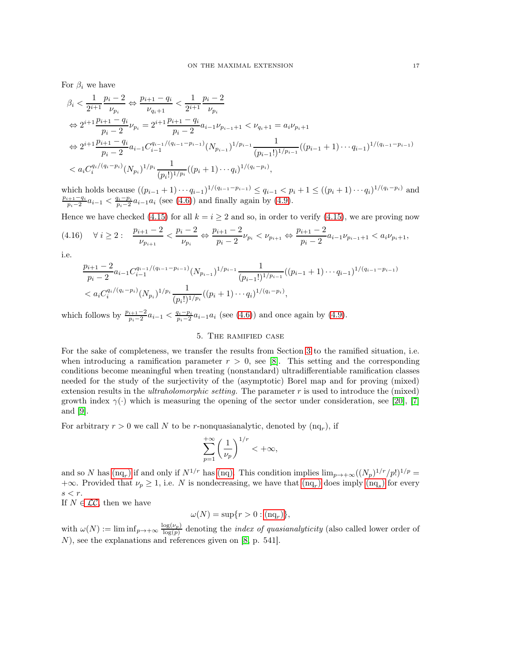For  $\beta_i$  we have

$$
\beta_{i} < \frac{1}{2^{i+1}} \frac{p_{i} - 2}{\nu_{p_{i}}} \Leftrightarrow \frac{p_{i+1} - q_{i}}{\nu_{q_{i}+1}} < \frac{1}{2^{i+1}} \frac{p_{i} - 2}{\nu_{p_{i}}}
$$
\n
$$
\Leftrightarrow 2^{i+1} \frac{p_{i+1} - q_{i}}{p_{i} - 2} \nu_{p_{i}} = 2^{i+1} \frac{p_{i+1} - q_{i}}{p_{i} - 2} a_{i-1} \nu_{p_{i-1}+1} < \nu_{q_{i}+1} = a_{i} \nu_{p_{i}+1}
$$
\n
$$
\Leftrightarrow 2^{i+1} \frac{p_{i+1} - q_{i}}{p_{i} - 2} a_{i-1} C_{i-1}^{q_{i-1}/(q_{i-1} - p_{i-1})} (N_{p_{i-1}})^{1/p_{i-1}} \frac{1}{(p_{i-1}!)^{1/p_{i-1}}} ((p_{i-1} + 1) \cdots q_{i-1})^{1/(q_{i-1} - p_{i-1})}
$$
\n
$$
< a_{i} C_{i}^{q_{i}/(q_{i} - p_{i})} (N_{p_{i}})^{1/p_{i}} \frac{1}{(p_{i}!)^{1/p_{i}}} ((p_{i} + 1) \cdots q_{i})^{1/(q_{i} - p_{i})},
$$

which holds because  $((p_{i-1}+1)\cdots q_{i-1})^{1/(q_{i-1}-p_{i-1})} \le q_{i-1} < p_i+1 \le ((p_i+1)\cdots q_i)^{1/(q_i-p_i)}$  and  $p_{i+1}-q_i$  $\frac{q_i+1-q_i}{p_i-2}a_{i-1}$  <  $\frac{q_i-p_i}{p_i-2}a_{i-1}a_i$  (see [\(4.6\)](#page-14-2)) and finally again by [\(4.9\)](#page-14-1).

Hence we have checked [\(4.15\)](#page-15-0) for all  $k = i \geq 2$  and so, in order to verify (4.15), we are proving now

$$
(4.16) \quad \forall \ i \geq 2: \quad \frac{p_{i+1} - 2}{\nu_{p_{i+1}}} < \frac{p_i - 2}{\nu_{p_i}} \Leftrightarrow \frac{p_{i+1} - 2}{p_i - 2} \nu_{p_i} < \nu_{p_{i+1}} \Leftrightarrow \frac{p_{i+1} - 2}{p_i - 2} a_{i-1} \nu_{p_{i-1} + 1} < a_i \nu_{p_i + 1},
$$

i.e.

$$
\frac{p_{i+1}-2}{p_i-2}a_{i-1}C_{i-1}^{q_{i-1}/(q_{i-1}-p_{i-1})}(N_{p_{i-1}})^{1/p_{i-1}}\frac{1}{(p_{i-1}!)^{1/p_{i-1}}}((p_{i-1}+1)\cdots q_{i-1})^{1/(q_{i-1}-p_{i-1})}
$$
  

$$
< a_i C_i^{q_i/(q_i-p_i)}(N_{p_i})^{1/p_i}\frac{1}{(p_i!)^{1/p_i}}((p_i+1)\cdots q_i)^{1/(q_i-p_i)},
$$

<span id="page-16-0"></span>which follows by  $\frac{p_{i+1}-2}{p_i-2}a_{i-1} < \frac{q_i-p_i}{p_i-2}a_{i-1}a_i$  (see [\(4.6\)](#page-14-2)) and once again by [\(4.9\)](#page-14-1).

# 5. The ramified case

For the sake of completeness, we transfer the results from Section [3](#page-5-0) to the ramified situation, i.e. when introducing a ramification parameter  $r > 0$ , see [\[8\]](#page-25-5). This setting and the corresponding conditions become meaningful when treating (nonstandard) ultradifferentiable ramification classes needed for the study of the surjectivity of the (asymptotic) Borel map and for proving (mixed) extension results in the *ultraholomorphic setting*. The parameter  $r$  is used to introduce the (mixed) growth index  $\gamma$ .) which is measuring the opening of the sector under consideration, see [\[20\]](#page-26-2), [\[7\]](#page-25-16) and [\[9\]](#page-25-8).

For arbitrary  $r > 0$  we call N to be r-nonquasianalytic, denoted by  $(nq_r)$ , if

<span id="page-16-1"></span>
$$
\sum_{p=1}^{+\infty} \left(\frac{1}{\nu_p}\right)^{1/r} < +\infty,
$$

and so N has  $(nq_r)$  $(nq_r)$  $(nq_r)$  if and only if  $N^{1/r}$  has  $(nq)$ . This condition implies  $\lim_{p\to+\infty} ((N_p)^{1/r}/p!)^{1/p} =$  $+\infty$ . Provided that  $\nu_p \geq 1$ , i.e. N is nondecreasing, we have that  $(nq_r)$  $(nq_r)$  $(nq_r)$  does imply  $(nq_s)$  for every  $s < r$ .

If  $N \in \mathcal{LC}$ , then we have

$$
\omega(N) = \sup\{r > 0 : (\text{nq}_r)\},\
$$

with  $\omega(N) := \liminf_{p \to +\infty} \frac{\log(\nu_p)}{\log(n)}$  $\frac{\log(\nu_p)}{\log(p)}$  denoting the *index of quasianalyticity* (also called lower order of N), see the explanations and references given on [\[8,](#page-25-5) p. 541].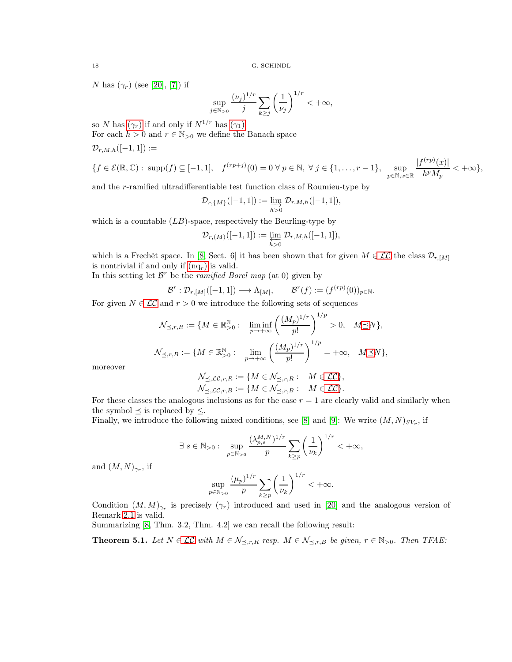<span id="page-17-1"></span>N has  $(\gamma_r)$  (see [\[20\]](#page-26-2), [\[7\]](#page-25-16)) if

 $\mathcal{D}_{r,M,h}([-1,1]) :=$ 

$$
\sup_{j \in \mathbb{N}_{>0}} \frac{(\nu_j)^{1/r}}{j} \sum_{k \ge j} \left(\frac{1}{\nu_j}\right)^{1/r} < +\infty,
$$

so N has  $(\gamma_r)$  if and only if  $N^{1/r}$  has  $(\gamma_1)$ .

For each  $h > 0$  and  $r \in \mathbb{N}_{>0}$  we define the Banach space

$$
\{f\in\mathcal{E}(\mathbb{R},\mathbb{C}):\;\text{supp}(f)\subseteq[-1,1],\quad f^{(rp+j)}(0)=0\;\forall\;p\in\mathbb{N},\;\forall\;j\in\{1,\ldots,r-1\},\;\;\sup_{p\in\mathbb{N},x\in\mathbb{R}}\frac{|f^{(rp)}(x)|}{h^pM_p}<+\infty\},
$$

and the r-ramified ultradifferentiable test function class of Roumieu-type by

$$
\mathcal{D}_{r,\{M\}}([-1,1]):=\varinjlim_{h>0}\mathcal{D}_{r,M,h}([-1,1]),
$$

which is a countable  $(LB)$ -space, respectively the Beurling-type by

$$
\mathcal{D}_{r,(M)}([-1,1]):=\varprojlim_{h>0}\mathcal{D}_{r,M,h}([-1,1]),
$$

which is a Frechét space. In [\[8,](#page-25-5) Sect. 6] it has been shown that for given  $M \in \mathcal{LC}$  the class  $\mathcal{D}_{r,[M]}$ is nontrivial if and only if  $(nq<sub>r</sub>)$  $(nq<sub>r</sub>)$  $(nq<sub>r</sub>)$  is valid.

In this setting let  $\mathcal{B}^r$  be the *ramified Borel map* (at 0) given by

$$
\mathcal{B}^r : \mathcal{D}_{r,[M]}([-1,1]) \longrightarrow \Lambda_{[M]}, \qquad \mathcal{B}^r(f) := (f^{(rp)}(0))_{p \in \mathbb{N}}.
$$

For given  $N \in \mathcal{LC}$  and  $r > 0$  we introduce the following sets of sequences

$$
\mathcal{N}_{\preceq,r,R} := \{ M \in \mathbb{R}_{>0}^{\mathbb{N}} : \liminf_{p \to +\infty} \left( \frac{(M_p)^{1/r}}{p!} \right)^{1/p} > 0, \quad M \preceq N \},
$$
  

$$
\mathcal{N}_{\preceq,r,B} := \{ M \in \mathbb{R}_{>0}^{\mathbb{N}} : \lim_{p \to +\infty} \left( \frac{(M_p)^{1/r}}{p!} \right)^{1/p} = +\infty, \quad M \preceq N \},
$$

moreover

$$
\mathcal{N}_{\preceq,\mathcal{LC},r,R} := \{ M \in \mathcal{N}_{\preceq,r,R} : M \in \mathcal{LC} \},
$$
  

$$
\mathcal{N}_{\preceq,\mathcal{LC},r,B} := \{ M \in \mathcal{N}_{\preceq,r,B} : M \in \mathcal{LC} \}.
$$

For these classes the analogous inclusions as for the case  $r = 1$  are clearly valid and similarly when the symbol  $\prec$  is replaced by  $\leq$ .

Finally, we introduce the following mixed conditions, see [\[8\]](#page-25-5) and [\[9\]](#page-25-8): We write  $(M, N)_{SV_r}$ , if

$$
\exists \; s \in \mathbb{N}_{>0}: \; \sup_{p \in \mathbb{N}_{>0}} \frac{(\lambda_{p,s}^{M,N})^{1/r}}{p} \sum_{k \geq p} \left(\frac{1}{\nu_k}\right)^{1/r} < +\infty,
$$

and  $(M, N)_{\gamma_r}$ , if

$$
\sup_{p \in \mathbb{N}_{>0}} \frac{(\mu_p)^{1/r}}{p} \sum_{k \ge p} \left(\frac{1}{\nu_k}\right)^{1/r} < +\infty.
$$

<span id="page-17-2"></span>Condition  $(M, M)_{\gamma_r}$  is precisely  $(\gamma_r)$  introduced and used in [\[20\]](#page-26-2) and the analogous version of Remark [2.1](#page-5-1) is valid.

Summarizing [\[8,](#page-25-5) Thm. 3.2, Thm. 4.2] we can recall the following result:

<span id="page-17-0"></span>**Theorem 5.1.** Let  $N \in \mathcal{LC}$  with  $M \in \mathcal{N}_{\preceq,r,R}$  resp.  $M \in \mathcal{N}_{\preceq,r,B}$  be given,  $r \in \mathbb{N}_{>0}$ . Then TFAE: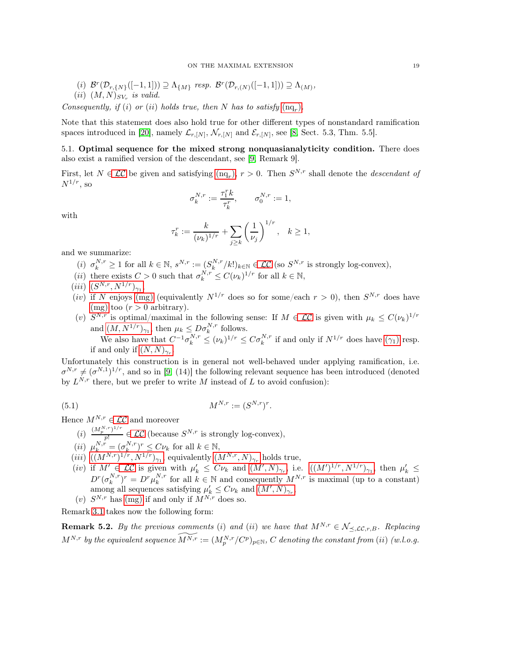- (i)  $\mathcal{B}^r(\mathcal{D}_{r,\{N\}}([-1,1])) \supseteq \Lambda_{\{M\}}$  resp.  $\mathcal{B}^r(\mathcal{D}_{r,(N)}([-1,1])) \supseteq \Lambda_{(M)}$ ,
- $(ii)$   $(M, N)_{SV_r}$  is valid.

Consequently, if (i) or (ii) holds true, then N has to satisfy  $(nq_r)$  $(nq_r)$ .

Note that this statement does also hold true for other different types of nonstandard ramification spaces introduced in [\[20\]](#page-26-2), namely  $\mathcal{L}_{r,[N]}, \mathcal{N}_{r,[N]}$  and  $\mathcal{E}_{r,[N]},$  see [\[8,](#page-25-5) Sect. 5.3, Thm. 5.5].

5.1. Optimal sequence for the mixed strong nonquasianalyticity condition. There does also exist a ramified version of the descendant, see [\[9,](#page-25-8) Remark 9].

First, let  $N \in \mathcal{LC}$  be given and satisfying  $(nq_r)$  $(nq_r)$ ,  $r > 0$ . Then  $S^{N,r}$  shall denote the *descendant of*  $N^{1/r}$ , so

$$
\sigma^{N,r}_k:=\frac{\tau^r_1k}{\tau^r_k},\qquad \sigma^{N,r}_0:=1,
$$

with

$$
\tau_k^r := \frac{k}{(\nu_k)^{1/r}} + \sum_{j \ge k} \left(\frac{1}{\nu_j}\right)^{1/r}, \quad k \ge 1,
$$

and we summarize:

- (i)  $\sigma_k^{N,r} \ge 1$  for all  $k \in \mathbb{N}$ ,  $s^{N,r} := (S_k^{N,r}/k!)_{k \in \mathbb{N}} \in \mathcal{LC}$  (so  $S^{N,r}$  is strongly log-convex),
- (*ii*) there exists  $C > 0$  such that  $\sigma_k^{N,r} \leq C(\nu_k)^{1/r}$  for all  $k \in \mathbb{N}$ ,
- $(iii)$   $(S^{N,r}, N^{1/r})_{\gamma_1},$  $(S^{N,r}, N^{1/r})_{\gamma_1},$  $(S^{N,r}, N^{1/r})_{\gamma_1},$
- (*iv*) if N enjoys [\(mg\)](#page-2-3) (equivalently  $N^{1/r}$  does so for some/each  $r > 0$ ), then  $S^{N,r}$  does have [\(mg\)](#page-2-3) too  $(r > 0$  arbitrary).
- (v)  $S^{N,r}$  is optimal/maximal in the following sense: If  $M \in \mathcal{LC}$  is given with  $\mu_k \leq C(\nu_k)^{1/r}$ and  $(M, N^{1/r})_{\gamma_1}$  $(M, N^{1/r})_{\gamma_1}$  $(M, N^{1/r})_{\gamma_1}$ , then  $\mu_k \leq D \sigma_k^{N,r}$  follows.

<span id="page-18-1"></span>We also have that  $C^{-1}\sigma_k^{N,r} \leq (\nu_k)^{1/r} \leq C\sigma_k^{N,r}$  if and only if  $N^{1/r}$  does have  $(\gamma_1)$  resp. if and only if  $(N, N)_{\gamma_r}$  $(N, N)_{\gamma_r}$  $(N, N)_{\gamma_r}$ .

Unfortunately this construction is in general not well-behaved under applying ramification, i.e.  $\sigma^{N,r} \neq (\sigma^{N,1})^{1/r}$ , and so in [\[9,](#page-25-8) (14)] the following relevant sequence has been introduced (denoted by  $L^{N,r}$  there, but we prefer to write M instead of L to avoid confusion):

(5.1) 
$$
M^{N,r} := (S^{N,r})^r.
$$

Hence  $M^{N,r} \in \mathcal{LC}$  and moreover

- $(i) \frac{(M_p^{N,r})^{1/r}}{n!} \in \mathcal{LC}$  (because  $S^{N,r}$  is strongly log-convex), p!
- (*ii*)  $\mu_k^{N,r} = (\sigma_k^{N,r})^r \leq C \nu_k$  for all  $k \in \mathbb{N}$ ,
- (*iii*)  $((M^{N,r})^{1/r}, N^{1/r})_{\gamma_1}$  $((M^{N,r})^{1/r}, N^{1/r})_{\gamma_1}$  $((M^{N,r})^{1/r}, N^{1/r})_{\gamma_1}$ , equivalently  $(M^{N,r}, N)_{\gamma_r}$  holds true,
- (iv) if  $M' \in \mathcal{LC}$  is given with  $\mu'_k \leq C \nu_k$  and  $(M', N)_{\gamma_r}$  $(M', N)_{\gamma_r}$  $(M', N)_{\gamma_r}$ , i.e.  $((M')^{1/r}, N^{1/r})_{\gamma_1}$ , then  $\mu'_k \leq$  $D^r(\sigma_k^{N,r})^r = D^r\mu_k^{N,r}$  for all  $k \in \mathbb{N}$  and consequently  $M^{N,r}$  is maximal (up to a constant) among all sequences satisfying  $\mu'_{k} \leq C \nu_{k}$  and  $(M', N)_{\gamma_{r}}$  $(M', N)_{\gamma_{r}}$  $(M', N)_{\gamma_{r}}$ ,
- (v)  $S^{N,r}$  has [\(mg\)](#page-2-3) if and only if  $M^{N,r}$  does so.

Remark [3.1](#page-6-1) takes now the following form:

<span id="page-18-0"></span>**Remark 5.2.** By the previous comments (i) and (ii) we have that  $M^{N,r} \in \mathcal{N}_{\preceq, \mathcal{LC}, r, B}$ . Replacing  $M^{N,r}$  by the equivalent sequence  $\widetilde{M^{N,r}}:=(M_p^{N,r}/C^p)_{p\in\mathbb{N}},\, C$  denoting the constant from (ii) (w.l.o.g.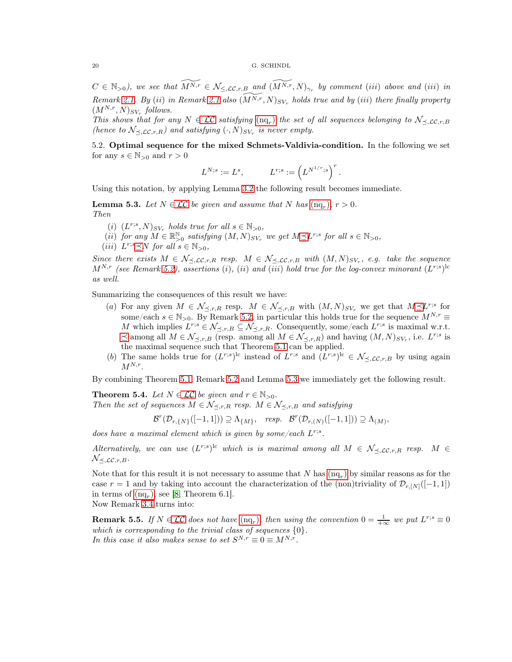$C \in \mathbb{N}_{>0}$ ), we see that  $\widetilde{M^{N,r}} \in \mathcal{N}_{\leq, \mathcal{LC}, r, B}$  and  $(\widetilde{M^{N,r}}, N)_{\gamma_r}$  by comment (iii) above and (iii) in Remark [2.1.](#page-5-1) By (ii) in Remark [2.1](#page-5-1) also  $(M^{N,r}, N)_{SV_r}$  holds true and by (iii) there finally property  $(M^{N,r}, N)_{SV_r}$  follows.

This shows that for any  $N \in \mathcal{LC}$  satisfying  $(nq_r)$  $(nq_r)$  the set of all sequences belonging to  $\mathcal{N}_{\leq, \mathcal{LC}, r, B}$ (hence to  $\mathcal{N}_{\leq,\mathcal{LC},r,R}$ ) and satisfying  $(\cdot,N)_{SV_r}$  is never empty.

5.2. Optimal sequence for the mixed Schmets-Valdivia-condition. In the following we set for any  $s \in \mathbb{N}_{>0}$  and  $r > 0$ 

$$
L^{N;s}:=L^s,\qquad \quad L^{r;s}:=\left(L^{N^{1/r};s}\right)^r.
$$

Using this notation, by applying Lemma [3.2](#page-6-2) the following result becomes immediate.

<span id="page-19-1"></span>**Lemma 5.3.** Let  $N \in \mathcal{LC}$  be given and assume that N has  $(\text{nq}_r)$ ,  $r > 0$ . Then

- (i)  $(L^{r;s}, N)_{SV_r}$  holds true for all  $s \in \mathbb{N}_{>0}$ ,
- (ii) for any  $M \in \mathbb{R}_{>0}^{\mathbb{N}}$  satisfying  $(M, N)_{SV_r}$  we get  $M \preceq L^{r,s}$  for all  $s \in \mathbb{N}_{>0}$ ,
- (iii)  $L^{r;s} \preceq N$  for all  $s \in \mathbb{N}_{>0}$ ,

Since there exists  $M \in \mathcal{N}_{\leq, \mathcal{LC}, r, R}$  resp.  $M \in \mathcal{N}_{\leq, \mathcal{LC}, r, B}$  with  $(M, N)_{SV_r}$ , e.g. take the sequence  $M^{N,r}$  (see Remark [5.2\)](#page-18-0), assertions (i), (ii) and (iii) hold true for the log-convex minorant  $(L^{r,s})^{\text{lc}}$ as well.

Summarizing the consequences of this result we have:

- (a) For any given  $M \in \mathcal{N}_{\preceq,r,R}$  resp.  $M \in \mathcal{N}_{\preceq,r,B}$  with  $(M,N)_{SV_r}$  we get that  $M \preceq L^{r,s}$  for some/each  $s \in \mathbb{N}_{>0}$ . By Remark [5.2,](#page-18-0) in particular this holds true for the sequence  $M^{N,r} \equiv$ M which implies  $L^{r,s} \in \mathcal{N}_{\preceq,r,B} \subseteq \mathcal{N}_{\preceq,r,R}$ . Consequently, some/each  $L^{r,s}$  is maximal w.r.t.  $\preceq$  among all  $M \in \mathcal{N}_{\preceq,r,B}$  (resp. among all  $M \in \mathcal{N}_{\preceq,r,R}$ ) and having  $(M, N)_{SV_r}$ , i.e.  $L^{r,s}$  is the maximal sequence such that Theorem [5.1](#page-17-0) can be applied.
- (b) The same holds true for  $(L^{r,s})^{\text{lc}}$  instead of  $L^{r,s}$  and  $(L^{r,s})^{\text{lc}} \in \mathcal{N}_{\preceq,\mathcal{LC},r,B}$  by using again  $M^{N,r}$ .

By combining Theorem [5.1,](#page-17-0) Remark [5.2](#page-18-0) and Lemma [5.3](#page-19-1) we immediately get the following result.

<span id="page-19-0"></span>**Theorem 5.4.** Let  $N \in \mathcal{LC}$  be given and  $r \in \mathbb{N}_{>0}$ . Then the set of sequences  $M \in \mathcal{N}_{\prec,r,R}$  resp.  $M \in \mathcal{N}_{\prec,r,B}$  and satisfying

$$
\mathcal{B}^r(\mathcal{D}_{r,\{N\}}([-1,1])) \supseteq \Lambda_{\{M\}}, \quad resp. \quad \mathcal{B}^r(\mathcal{D}_{r,(N)}([-1,1])) \supseteq \Lambda_{(M)},
$$

does have a maximal element which is given by some/each  $L^{r,s}$ .

Alternatively, we can use  $(L^{r,s})^{\text{lc}}$  which is is maximal among all  $M \in \mathcal{N}_{\preceq, \mathcal{LC}, r, R}$  resp.  $M \in \mathcal{N}_{\preceq, \mathcal{LC}, r, R}$  $\mathcal{N}_{\preceq,\mathcal{LC},r,B}.$ 

Note that for this result it is not necessary to assume that  $N$  has  $(nq_r)$  $(nq_r)$  by similar reasons as for the case r = 1 and by taking into account the characterization of the (non)triviality of  $\mathcal{D}_{r,[N]}([-1,1])$ in terms of  $(nq_r)$  $(nq_r)$ , see [\[8,](#page-25-5) Theorem 6.1].

Now Remark [3.4](#page-8-2) turns into:

**Remark 5.5.** If  $N \in \mathcal{LC}$  does not have  $(nq_r)$  $(nq_r)$ , then using the convention  $0 = \frac{1}{+\infty}$  we put  $L^{r;s} \equiv 0$ which is corresponding to the trivial class of sequences  $\{0\}$ . In this case it also makes sense to set  $S^{N,r} \equiv 0 \equiv M^{N,r}$ .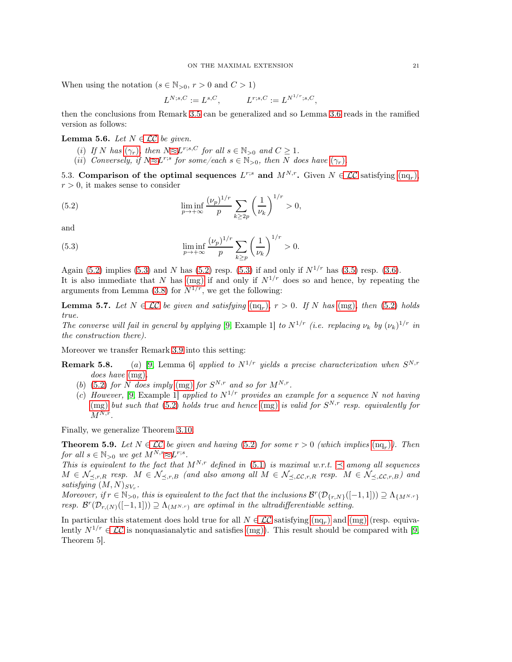When using the notation ( $s \in \mathbb{N}_{>0}$ ,  $r > 0$  and  $C > 1$ )

<span id="page-20-1"></span>
$$
L^{N;s,C}:=L^{s,C},\qquad \quad L^{r;s,C}:=L^{N^{1/r};s,C},
$$

then the conclusions from Remark 3.5 can be generalized and so Lemma [3.6](#page-8-3) reads in the ramified version as follows:

## **Lemma 5.6.** Let  $N \in \mathcal{LC}$  be given.

- (i) If N has  $(\gamma_r)$ , then  $N \approx L^{r;s,C}$  for all  $s \in \mathbb{N}_{>0}$  and  $C \geq 1$ .
- (ii) Conversely, if  $N \approx L^{r,s}$  for some/each  $s \in \mathbb{N}_{>0}$ , then N does have  $(\gamma_r)$ .

5.3. Comparison of the optimal sequences  $L^{r;s}$  and  $M^{N,r}$ . Given  $N \in \mathcal{LC}$  satisfying  $(nq_r)$  $(nq_r)$ ,  $r > 0$ , it makes sense to consider

(5.2) 
$$
\liminf_{p \to +\infty} \frac{(\nu_p)^{1/r}}{p} \sum_{k \ge 2p} \left(\frac{1}{\nu_k}\right)^{1/r} > 0,
$$

and

<span id="page-20-2"></span>(5.3) 
$$
\liminf_{p \to +\infty} \frac{(\nu_p)^{1/r}}{p} \sum_{k \ge p} \left(\frac{1}{\nu_k}\right)^{1/r} > 0.
$$

Again [\(5.2\)](#page-20-1) implies [\(5.3\)](#page-20-2) and N has (5.2) resp. (5.3) if and only if  $N^{1/r}$  has [\(3.5\)](#page-9-3) resp. [\(3.6\)](#page-10-1). It is also immediate that N has [\(mg\)](#page-2-3) if and only if  $N^{1/r}$  does so and hence, by repeating the arguments from Lemma [\(3.8\)](#page-10-2) for  $N^{1/r}$ , we get the following:

**Lemma 5.7.** Let  $N \in \mathcal{LC}$  be given and satisfying  $(nq_r)$  $(nq_r)$ ,  $r > 0$ . If N has  $(mg)$ , then  $(5.2)$  holds true.

The converse will fail in general by applying [\[9,](#page-25-8) Example 1] to  $N^{1/r}$  (i.e. replacing  $\nu_k$  by  $(\nu_k)^{1/r}$  in the construction there).

Moreover we transfer Remark 3.9 into this setting:

- **Remark 5.8.** (a) [\[9,](#page-25-8) Lemma 6] applied to  $N^{1/r}$  yields a precise characterization when  $S^{N,r}$ does have  $(mg)$ .
	- (b) [\(5.2\)](#page-20-1) for N does imply [\(mg\)](#page-2-3) for  $S^{N,r}$  and so for  $M^{N,r}$ .
	- (c) However, [\[9,](#page-25-8) Example 1] applied to  $N^{1/r}$  provides an example for a sequence N not having [\(mg\)](#page-2-3) but such that [\(5.2\)](#page-20-1) holds true and hence (mg) is valid for  $S^{N,r}$  resp. equivalently for  $M^{N,r}$ .

Finally, we generalize Theorem [3.10.](#page-10-0)

<span id="page-20-0"></span>**Theorem 5.9.** Let  $N \in \mathcal{LC}$  be given and having [\(5.2\)](#page-20-1) for some  $r > 0$  (which implies  $(\text{nq}_r)$ ). Then for all  $s \in \mathbb{N}_{>0}$  we get  $M^{N,r} \approx L^{r,s}$ .

This is equivalent to the fact that  $M^{N,r}$  defined in [\(5.1\)](#page-18-1) is maximal w.r.t.  $\preceq$  among all sequences  $M \in \mathcal{N}_{\preceq,r,R}$  resp.  $M \in \mathcal{N}_{\preceq,r,B}$  (and also among all  $M \in \mathcal{N}_{\preceq,\mathcal{LC},r,R}$  resp.  $M \in \mathcal{N}_{\preceq,\mathcal{LC},r,B}$ ) and satisfying  $(M, N)_{SV_r}$ .

Moreover, if  $r \in \mathbb{N}_{>0}$ , this is equivalent to the fact that the inclusions  $\mathcal{B}^r(\mathcal{D}_{\{r,N\}}([-1,1])) \supseteq \Lambda_{\{M^{N,r}\}}$ resp.  $\mathcal{B}^r(\mathcal{D}_{r,(N)}([-1,1])) \supseteq \Lambda_{(M^{N,r})}$  are optimal in the ultradifferentiable setting.

In particular this statement does hold true for all  $N \in \mathcal{LC}$  satisfying  $(nq_r)$  $(nq_r)$  and  $(mg)$  (resp. equivalently  $N^{1/r} \in \mathcal{LC}$  is nonquasianalytic and satisfies [\(mg\)](#page-2-3)). This result should be compared with [\[9,](#page-25-8) Theorem 5].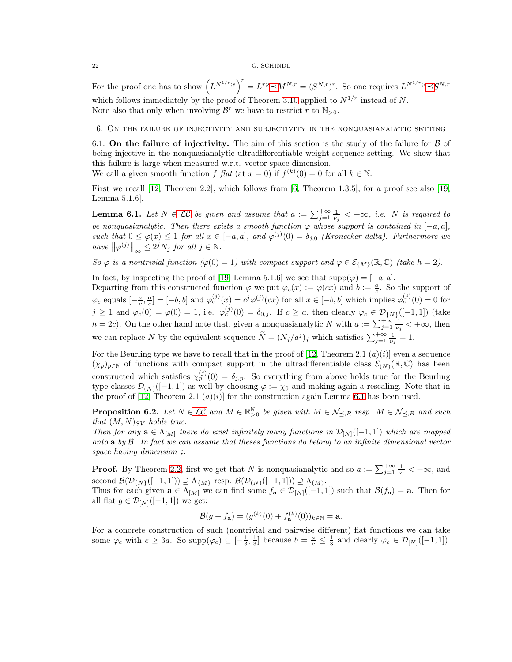For the proof one has to show  $(L^{N^{1/r};s})^r = L^{r;s} \preceq M^{N,r} = (S^{N,r})^r$ . So one requires  $L^{N^{1/r};s} \preceq S^{N,r}$ which follows immediately by the proof of Theorem [3.10](#page-10-0) applied to  $N^{1/r}$  instead of N. Note also that only when involving  $\mathcal{B}^r$  we have to restrict r to  $\mathbb{N}_{>0}$ .

<span id="page-21-2"></span><span id="page-21-0"></span>6. On the failure of injectivity and surjectivity in the nonquasianalytic setting

6.1. On the failure of injectivity. The aim of this section is the study of the failure for  $\beta$  of being injective in the nonquasianalytic ultradifferentiable weight sequence setting. We show that this failure is large when measured w.r.t. vector space dimension.

We call a given smooth function f flat (at  $x = 0$ ) if  $f^{(k)}(0) = 0$  for all  $k \in \mathbb{N}$ .

First we recall [\[12,](#page-25-2) Theorem 2.2], which follows from [\[6,](#page-25-0) Theorem 1.3.5], for a proof see also [\[19,](#page-25-17) Lemma 5.1.6].

<span id="page-21-3"></span>**Lemma 6.1.** Let  $N \in \mathcal{LC}$  be given and assume that  $a := \sum_{j=1}^{+\infty} \frac{1}{\nu_j} < +\infty$ , i.e. N is required to be nonquasianalytic. Then there exists a smooth function  $\varphi$  whose support is contained in  $[-a, a]$ , such that  $0 \leq \varphi(x) \leq 1$  for all  $x \in [-a, a]$ , and  $\varphi^{(j)}(0) = \delta_{j,0}$  (Kronecker delta). Furthermore we have  $\|\varphi^{(j)}\|_{\infty} \leq 2^j N_j$  for all  $j \in \mathbb{N}$ .

So  $\varphi$  is a nontrivial function  $(\varphi(0) = 1)$  with compact support and  $\varphi \in \mathcal{E}_{\{M\}}(\mathbb{R}, \mathbb{C})$  (take  $h = 2$ ).

In fact, by inspecting the proof of [\[19,](#page-25-17) Lemma 5.1.6] we see that  $\text{supp}(\varphi) = [-a, a]$ .

Departing from this constructed function  $\varphi$  we put  $\varphi_c(x) := \varphi(cx)$  and  $b := \frac{a}{c}$ . So the support of  $\varphi_c$  equals  $\left[-\frac{a}{c},\frac{a}{c}\right] = \left[-b,b\right]$  and  $\varphi_c^{(j)}(x) = c^j \varphi^{(j)}(cx)$  for all  $x \in \left[-b,b\right]$  which implies  $\varphi_c^{(j)}(0) = 0$  for  $c$  '  $c$  $j \geq 1$  and  $\varphi_c(0) = \varphi(0) = 1$ , i.e.  $\varphi_c^{(j)}(0) = \delta_{0,j}$ . If  $c \geq a$ , then clearly  $\varphi_c \in \mathcal{D}_{\{N\}}([-1,1])$  (take  $h = 2c$ ). On the other hand note that, given a nonquasianalytic N with  $a := \sum_{j=1}^{+\infty} \frac{1}{\nu_j} < +\infty$ , then we can replace N by the equivalent sequence  $\widetilde{N} = (N_j/a^j)_j$  which satisfies  $\sum_{j=1}^{+\infty} \frac{1}{\widetilde{\nu}_j} = 1$ .

For the Beurling type we have to recall that in the proof of [\[12,](#page-25-2) Theorem 2.1  $(a)(i)$ ] even a sequence  $(\chi_p)_{p \in \mathbb{N}}$  of functions with compact support in the ultradifferentiable class  $\mathcal{E}_{(N)}(\mathbb{R}, \mathbb{C})$  has been constructed which satisfies  $\chi_p^{(j)}(0) = \delta_{j,p}$ . So everything from above holds true for the Beurling type classes  $\mathcal{D}_{(N)}([-1,1])$  as well by choosing  $\varphi := \chi_0$  and making again a rescaling. Note that in the proof of [\[12,](#page-25-2) Theorem 2.1  $(a)(i)$ ] for the construction again Lemma [6.1](#page-21-3) has been used.

<span id="page-21-1"></span>**Proposition 6.2.** Let  $N \in \mathcal{LC}$  and  $M \in \mathbb{R}_{>0}^{\mathbb{N}}$  be given with  $M \in \mathcal{N}_{\preceq,R}$  resp.  $M \in \mathcal{N}_{\preceq,B}$  and such that  $(M, N)_{SV}$  holds true.

Then for any  $\mathbf{a} \in \Lambda_{[M]}$  there do exist infinitely many functions in  $\mathcal{D}_{[N]}([-1,1])$  which are mapped onto  $\bf{a}$  by  $\bf{B}$ . In fact we can assume that theses functions do belong to an infinite dimensional vector space having dimension  $\mathfrak{c}$ .

**Proof.** By Theorem [2.2,](#page-5-3) first we get that N is nonquasianalytic and so  $a := \sum_{j=1}^{+\infty} \frac{1}{\nu_j} < +\infty$ , and second  $\mathcal{B}(\mathcal{D}_{\{N\}}([-1,1])) \supseteq \Lambda_{\{M\}}$  resp.  $\mathcal{B}(\mathcal{D}_{(N)}([-1,1])) \supseteq \Lambda_{(M)}$ .

Thus for each given  $\mathbf{a} \in \Lambda_{[M]}$  we can find some  $f_{\mathbf{a}} \in \mathcal{D}_{[N]}([-1,1])$  such that  $\mathcal{B}(f_{\mathbf{a}}) = \mathbf{a}$ . Then for all flat  $g \in \mathcal{D}_{[N]}([-1,1])$  we get:

$$
\mathcal{B}(g + f_{\mathbf{a}}) = (g^{(k)}(0) + f_{\mathbf{a}}^{(k)}(0))_{k \in \mathbb{N}} = \mathbf{a}.
$$

For a concrete construction of such (nontrivial and pairwise different) flat functions we can take some  $\varphi_c$  with  $c \geq 3a$ . So supp $(\varphi_c) \subseteq \left[-\frac{1}{3}, \frac{1}{3}\right]$  because  $b = \frac{a}{c} \leq \frac{1}{3}$  and clearly  $\varphi_c \in \mathcal{D}_{[N]}([-1, 1]).$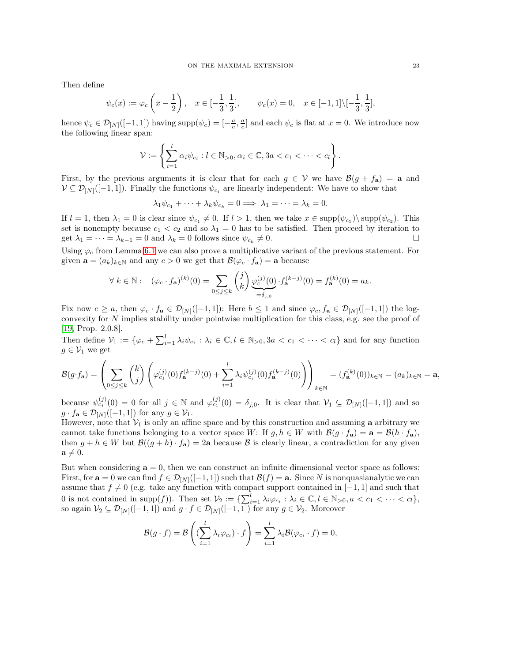Then define

$$
\psi_c(x) := \varphi_c\left(x - \frac{1}{2}\right), \quad x \in [-\frac{1}{3}, \frac{1}{3}], \qquad \psi_c(x) = 0, \quad x \in [-1, 1] \setminus [-\frac{1}{3}, \frac{1}{3}],
$$

hence  $\psi_c \in \mathcal{D}_{[N]}([-1,1])$  having  $\text{supp}(\psi_c) = \left[-\frac{a}{c}, \frac{a}{c}\right]$  and each  $\psi_c$  is flat at  $x = 0$ . We introduce now the following linear span:

$$
\mathcal{V} := \left\{ \sum_{i=1}^l \alpha_i \psi_{c_i} : l \in \mathbb{N}_{>0}, \alpha_i \in \mathbb{C}, 3a < c_1 < \cdots < c_l \right\}.
$$

First, by the previous arguments it is clear that for each  $g \in V$  we have  $\mathcal{B}(g + f_a) = a$  and  $V \subseteq \mathcal{D}_{[N]}([-1,1])$ . Finally the functions  $\psi_{c_i}$  are linearly independent: We have to show that

 $\lambda_1 \psi_{c_1} + \cdots + \lambda_k \psi_{c_k} = 0 \Longrightarrow \lambda_1 = \cdots = \lambda_k = 0.$ 

If  $l = 1$ , then  $\lambda_1 = 0$  is clear since  $\psi_{c_1} \neq 0$ . If  $l > 1$ , then we take  $x \in \text{supp}(\psi_{c_1}) \setminus \text{supp}(\psi_{c_2})$ . This set is nonempty because  $c_1 < c_2$  and so  $\lambda_1 = 0$  has to be satisfied. Then proceed by iteration to get  $\lambda_1 = \cdots = \lambda_{k-1} = 0$  and  $\lambda_k = 0$  follows since  $\psi_{c_k} \neq 0$ .  $\neq 0.$ 

Using  $\varphi_c$  from Lemma [6.1](#page-21-3) we can also prove a multiplicative variant of the previous statement. For given  $\mathbf{a} = (a_k)_{k \in \mathbb{N}}$  and any  $c > 0$  we get that  $\mathcal{B}(\varphi_c \cdot f_{\mathbf{a}}) = \mathbf{a}$  because

$$
\forall k \in \mathbb{N}: \ \ (\varphi_c \cdot f_{\mathbf{a}})^{(k)}(0) = \sum_{0 \le j \le k} \binom{j}{k} \underbrace{\varphi_c^{(j)}(0)}_{=\delta_{j,0}} \cdot f_{\mathbf{a}}^{(k-j)}(0) = f_{\mathbf{a}}^{(k)}(0) = a_k.
$$

Fix now  $c \ge a$ , then  $\varphi_c \cdot f_{\mathbf{a}} \in \mathcal{D}_{[N]}([-1,1])$ : Here  $b \le 1$  and since  $\varphi_c, f_{\mathbf{a}} \in \mathcal{D}_{[N]}([-1,1])$  the logconvexity for N implies stability under pointwise multiplication for this class, e.g. see the proof of [\[19,](#page-25-17) Prop. 2.0.8].

Then define  $V_1 := \{ \varphi_c + \sum_{i=1}^l \lambda_i \psi_{c_i} : \lambda_i \in \mathbb{C}, l \in \mathbb{N}_{>0}, 3a < c_1 < \cdots < c_l \}$  and for any function  $g \in \mathcal{V}_1$  we get

$$
\mathcal{B}(g \cdot f_{\mathbf{a}}) = \left(\sum_{0 \le j \le k} \binom{k}{j} \left(\varphi_{c_1}^{(j)}(0) f_{\mathbf{a}}^{(k-j)}(0) + \sum_{i=1}^l \lambda_i \psi_{c_i}^{(j)}(0) f_{\mathbf{a}}^{(k-j)}(0)\right)\right)_{k \in \mathbb{N}} = (f_{\mathbf{a}}^{(k)}(0))_{k \in \mathbb{N}} = (a_k)_{k \in \mathbb{N}} = \mathbf{a},
$$

because  $\psi_{c_i}^{(j)}(0) = 0$  for all  $j \in \mathbb{N}$  and  $\varphi_{c_1}^{(j)}(0) = \delta_{j,0}$ . It is clear that  $\mathcal{V}_1 \subseteq \mathcal{D}_{[N]}([-1,1])$  and so  $g \cdot f_{\mathbf{a}} \in \mathcal{D}_{[N]}([-1,1])$  for any  $g \in \mathcal{V}_1$ .

However, note that  $V_1$  is only an affine space and by this construction and assuming a arbitrary we cannot take functions belonging to a vector space W: If  $g, h \in W$  with  $\mathcal{B}(g \cdot f_a) = \mathbf{a} = \mathcal{B}(h \cdot f_a)$ , then  $g + h \in W$  but  $\mathcal{B}((g+h) \cdot f_a) = 2a$  because  $\mathcal B$  is clearly linear, a contradiction for any given  $a \neq 0$ .

But when considering  $a = 0$ , then we can construct an infinite dimensional vector space as follows: First, for  $\mathbf{a} = 0$  we can find  $f \in \mathcal{D}_{[N]}([-1,1])$  such that  $\mathcal{B}(f) = \mathbf{a}$ . Since N is nonquasianalytic we can assume that  $f \neq 0$  (e.g. take any function with compact support contained in [−1, 1] and such that 0 is not contained in supp $(f)$ ). Then set  $\mathcal{V}_2 := \{\sum_{i=1}^l \lambda_i \varphi_{c_i} : \lambda_i \in \mathbb{C}, l \in \mathbb{N}_{>0}, a < c_1 < \cdots < c_l\},\$ so again  $\mathcal{V}_2 \subseteq \mathcal{D}_{[N]}([-1,1])$  and  $g \cdot f \in \mathcal{D}_{[N]}([-1,1])$  for any  $g \in \mathcal{V}_2$ . Moreover

$$
\mathcal{B}(g \cdot f) = \mathcal{B}\left((\sum_{i=1}^{l} \lambda_i \varphi_{c_i}) \cdot f\right) = \sum_{i=1}^{l} \lambda_i \mathcal{B}(\varphi_{c_i} \cdot f) = 0,
$$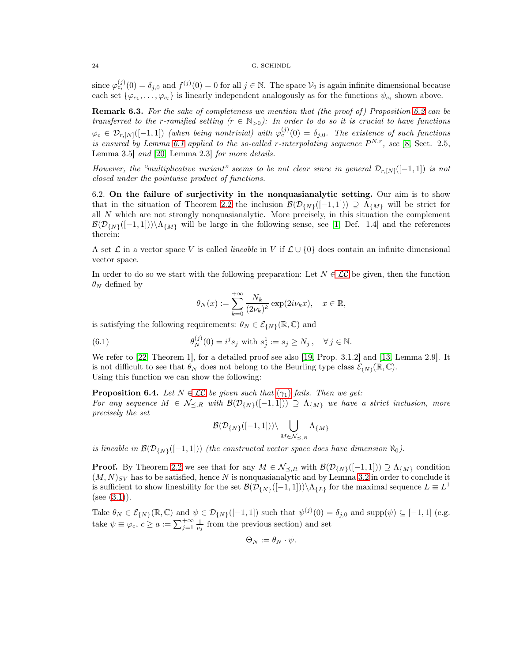since  $\varphi_{c_i}^{(j)}(0) = \delta_{j,0}$  and  $f^{(j)}(0) = 0$  for all  $j \in \mathbb{N}$ . The space  $\mathcal{V}_2$  is again infinite dimensional because each set  $\{\varphi_{c_1}, \ldots, \varphi_{c_l}\}\$  is linearly independent analogously as for the functions  $\psi_{c_i}$  shown above.

**Remark 6.3.** For the sake of completeness we mention that (the proof of) Proposition [6.2](#page-21-1) can be transferred to the r-ramified setting  $(r \in N_{>0})$ : In order to do so it is crucial to have functions  $\varphi_c \in \mathcal{D}_{r,[N]}([-1,1])$  (when being nontrivial) with  $\varphi_c^{(j)}(0) = \delta_{j,0}$ . The existence of such functions is ensured by Lemma [6.1](#page-21-3) applied to the so-called r-interpolating sequence  $P^{N,r}$ , see [\[8,](#page-25-5) Sect. 2.5, Lemma 3.5] and [\[20,](#page-26-2) Lemma 2.3] for more details.

However, the "multiplicative variant" seems to be not clear since in general  $\mathcal{D}_{r,[N]}([-1,1])$  is not closed under the pointwise product of functions.

6.2. On the failure of surjectivity in the nonquasianalytic setting. Our aim is to show that in the situation of Theorem [2.2](#page-5-3) the inclusion  $\mathcal{B}(\mathcal{D}_{\{N\}}([-1, 1])) \supseteq \Lambda_{\{M\}}$  will be strict for all N which are not strongly nonquasianalytic. More precisely, in this situation the complement  $\mathcal{B}(\mathcal{D}_{\{N\}}([-1, 1]))\setminus\Lambda_{\{M\}}$  will be large in the following sense, see [\[1,](#page-25-18) Def. 1.4] and the references therein:

A set  $\mathcal L$  in a vector space V is called *lineable* in V if  $\mathcal L \cup \{0\}$  does contain an infinite dimensional vector space.

In order to do so we start with the following preparation: Let  $N \in \mathcal{LC}$  be given, then the function  $\theta_N$  defined by

$$
\theta_N(x) := \sum_{k=0}^{+\infty} \frac{N_k}{(2\nu_k)^k} \exp(2i\nu_k x), \quad x \in \mathbb{R},
$$

is satisfying the following requirements:  $\theta_N \in \mathcal{E}_{\{N\}}(\mathbb{R}, \mathbb{C})$  and

(6.1) 
$$
\theta_N^{(j)}(0) = i^j s_j \text{ with } s_j^1 := s_j \ge N_j, \quad \forall j \in \mathbb{N}.
$$

We refer to [\[22,](#page-26-0) Theorem 1], for a detailed proof see also [\[19,](#page-25-17) Prop. 3.1.2] and [\[13,](#page-25-12) Lemma 2.9]. It is not difficult to see that  $\theta_N$  does not belong to the Beurling type class  $\mathcal{E}_{(N)}(\mathbb{R}, \mathbb{C})$ . Using this function we can show the following:

<span id="page-23-0"></span>**Proposition 6.4.** Let  $N \in \mathcal{LC}$  be given such that  $(\gamma_1)$  fails. Then we get: For any sequence  $M \in \mathcal{N}_{\preceq,R}$  with  $\mathcal{B}(\mathcal{D}_{\{N\}}([-1,1])) \supseteq \Lambda_{\{M\}}$  we have a strict inclusion, more precisely the set

$$
\mathcal{B}(\mathcal{D}_{\{N\}}([-1,1]))\backslash \bigcup_{M\in \mathcal{N}_{\prec,R}}\Lambda_{\{M\}}
$$

is lineable in  $\mathcal{B}(\mathcal{D}_{\{N\}}([-1, 1]))$  (the constructed vector space does have dimension  $\aleph_0$ ).

**Proof.** By Theorem [2.2](#page-5-3) we see that for any  $M \in \mathcal{N}_{\preceq,R}$  with  $\mathcal{B}(\mathcal{D}_{\{N\}}([-1,1])) \supseteq \Lambda_{\{M\}}$  condition  $(M, N)_{SV}$  has to be satisfied, hence N is nonquasianalytic and by Lemma [3.2](#page-6-2) in order to conclude it is sufficient to show lineability for the set  $\mathcal{B}(\mathcal{D}_{\{N\}}([-1,1]))\setminus\Lambda_{\{L\}}$  for the maximal sequence  $L\equiv L^1$  $(see (3.1)).$  $(see (3.1)).$  $(see (3.1)).$ 

Take  $\theta_N \in \mathcal{E}_{\{N\}}(\mathbb{R}, \mathbb{C})$  and  $\psi \in \mathcal{D}_{\{N\}}([-1, 1])$  such that  $\psi^{(j)}(0) = \delta_{j,0}$  and supp $(\psi) \subseteq [-1, 1]$  (e.g. take  $\psi \equiv \varphi_c, c \ge a := \sum_{j=1}^{+\infty} \frac{1}{\nu_j}$  from the previous section) and set

$$
\Theta_N := \theta_N \cdot \psi.
$$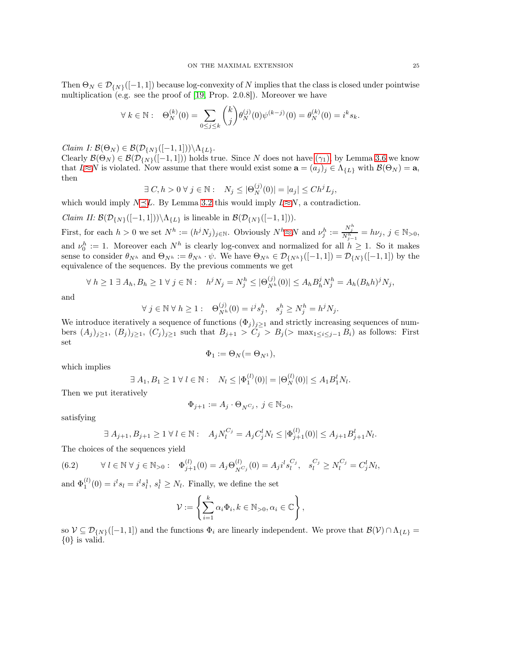Then  $\Theta_N \in \mathcal{D}_{\{N\}}([-1, 1])$  because log-convexity of N implies that the class is closed under pointwise multiplication (e.g. see the proof of [\[19,](#page-25-17) Prop. 2.0.8]). Moreover we have

$$
\forall k \in \mathbb{N}: \quad \Theta_N^{(k)}(0) = \sum_{0 \le j \le k} \binom{k}{j} \theta_N^{(j)}(0) \psi^{(k-j)}(0) = \theta_N^{(k)}(0) = i^k s_k.
$$

*Claim I:*  $\mathcal{B}(\Theta_N) \in \mathcal{B}(\mathcal{D}_{\{N\}}([-1,1])) \backslash \Lambda_{\{L\}}.$ 

Clearly  $\mathcal{B}(\Theta_N) \in \mathcal{B}(\mathcal{D}_{\{N\}}([-1, 1]))$  holds true. Since N does not have  $(\gamma_1)$ , by Lemma [3.6](#page-8-3) we know that  $L \approx N$  is violated. Now assume that there would exist some  $\mathbf{a} = (a_j)_j \in \Lambda_{\{L\}}$  with  $\mathcal{B}(\Theta_N) = \mathbf{a}$ , then

$$
\exists C, h > 0 \,\forall \, j \in \mathbb{N}: \quad N_j \leq |\Theta_N^{(j)}(0)| = |a_j| \leq Ch^j L_j,
$$

which would imply  $N\leq L$ . By Lemma [3.2](#page-6-2) this would imply  $L\approx N$ , a contradiction.

*Claim II:*  $\mathcal{B}(\mathcal{D}_{\{N\}}([-1, 1]))\setminus \Lambda_{\{L\}}$  is lineable in  $\mathcal{B}(\mathcal{D}_{\{N\}}([-1, 1]))$ .

First, for each  $h > 0$  we set  $N^h := (h^j N_j)_{j \in \mathbb{N}}$ . Obviously  $N^h \approx N$  and  $\nu_j^h := \frac{N_j^h}{N_{j-1}^h} = h\nu_j$ ,  $j \in \mathbb{N}_{>0}$ , and  $\nu_0^h := 1$ . Moreover each  $N^h$  is clearly log-convex and normalized for all  $h \geq 1$ . So it makes sense to consider  $\theta_{N^h}$  and  $\Theta_{N^h} := \theta_{N^h} \cdot \psi$ . We have  $\Theta_{N^h} \in \mathcal{D}_{\{N^h\}}([-1,1]) = \mathcal{D}_{\{N\}}([-1,1])$  by the equivalence of the sequences. By the previous comments we get

$$
\forall h \ge 1 \ \exists \ A_h, B_h \ge 1 \ \forall \ j \in \mathbb{N} : \quad h^j N_j = N_j^h \le |\Theta_{N^h}^{(j)}(0)| \le A_h B_h^j N_j^h = A_h (B_h h)^j N_j,
$$

and

$$
\forall j \in \mathbb{N} \,\forall \, h \ge 1: \quad \Theta_{N^h}^{(j)}(0) = i^j s_j^h, \quad s_j^h \ge N_j^h = h^j N_j.
$$

We introduce iteratively a sequence of functions  $(\Phi_j)_{j\geq 1}$  and strictly increasing sequences of numbers  $(A_j)_{j\geq 1}$ ,  $(B_j)_{j\geq 1}$ ,  $(C_j)_{j\geq 1}$  such that  $B_{j+1} > C_j > B_j$  (> max<sub>1≤i≤j-1</sub> B<sub>i</sub>) as follows: First set

$$
\Phi_1 := \Theta_N (=\Theta_{N^1}),
$$

which implies

$$
\exists A_1, B_1 \ge 1 \,\forall \, l \in \mathbb{N}: \quad N_l \le |\Phi_1^{(l)}(0)| = |\Theta_N^{(l)}(0)| \le A_1 B_1^l N_l.
$$

Then we put iteratively

$$
\Phi_{j+1}:=A_j\cdot \Theta_N\boldsymbol{_{\mathcal{G}}},\;j\in\mathbb{N}_{>0},
$$

satisfying

<span id="page-24-0"></span>
$$
\exists A_{j+1}, B_{j+1} \ge 1 \,\forall \, l \in \mathbb{N}: \quad A_j N_l^{C_j} = A_j C_j^l N_l \le |\Phi_{j+1}^{(l)}(0)| \le A_{j+1} B_{j+1}^l N_l.
$$

The choices of the sequences yield

$$
(6.2) \qquad \forall l \in \mathbb{N} \ \forall j \in \mathbb{N}_{>0}: \quad \Phi_{j+1}^{(l)}(0) = A_j \Theta_{N^{C_j}}^{(l)}(0) = A_j i^l s_l^{C_j}, \quad s_l^{C_j} \ge N_l^{C_j} = C_j^l N_l,
$$

and  $\Phi_1^{(l)}(0) = i^l s_l = i^l s_l^1$ ,  $s_l^1 \geq N_l$ . Finally, we define the set

$$
\mathcal{V} := \left\{ \sum_{i=1}^k \alpha_i \Phi_i, k \in \mathbb{N}_{>0}, \alpha_i \in \mathbb{C} \right\},\
$$

so  $V \subseteq \mathcal{D}_{\{N\}}([-1,1])$  and the functions  $\Phi_i$  are linearly independent. We prove that  $\mathcal{B}(V) \cap \Lambda_{\{L\}} =$  $\{0\}$  is valid.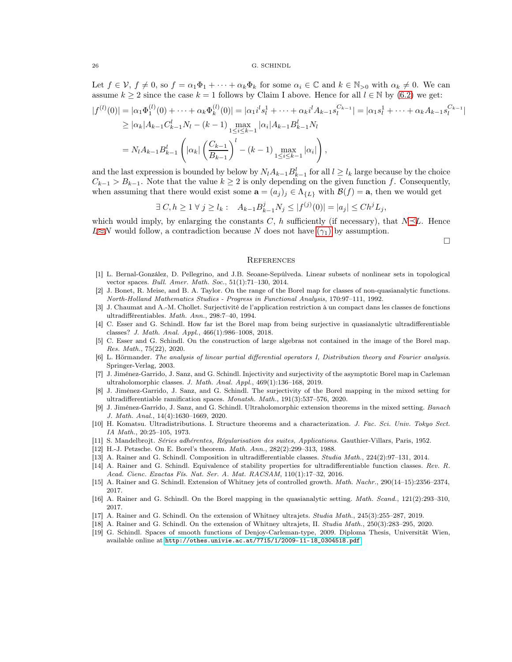Let  $f \in \mathcal{V}$ ,  $f \neq 0$ , so  $f = \alpha_1 \Phi_1 + \cdots + \alpha_k \Phi_k$  for some  $\alpha_i \in \mathbb{C}$  and  $k \in \mathbb{N}_{\geq 0}$  with  $\alpha_k \neq 0$ . We can assume  $k \ge 2$  since the case  $k = 1$  follows by Claim I above. Hence for all  $l \in \mathbb{N}$  by [\(6.2\)](#page-24-0) we get:  $|f^{(l)}(0)| = |\alpha_1 \Phi_1^{(l)}(0) + \cdots + \alpha_k \Phi_k^{(l)}$  $\begin{aligned} \mathcal{L}^{(l)}_{k}(0) | & = |\alpha_1 i^l s_l^1 + \cdots + \alpha_k i^l A_{k-1} s_l^{C_{k-1}}| = |\alpha_1 s_l^1 + \cdots + \alpha_k A_{k-1} s_l^{C_{k-1}}| \end{aligned}$  $\geq |\alpha_k| A_{k-1} C_{k-1}^l N_l - (k-1) \max_{1 \leq i \leq k-1} |\alpha_i| A_{k-1} B_{k-1}^l N_l$  $=N_l A_{k-1} B_{k-1}^l$  $\sqrt{ }$  $|\alpha_k|$  $\bigcap C_{k-1}$  $B_{k-1}$  $\setminus^l$  $-(k-1)\max_{1\leq i\leq k-1}|\alpha_i|$ ! ,

and the last expression is bounded by below by  $N_l A_{k-1} B_{k-1}^l$  for all  $l \geq l_k$  large because by the choice  $C_{k-1} > B_{k-1}$ . Note that the value  $k \geq 2$  is only depending on the given function f. Consequently, when assuming that there would exist some  $\mathbf{a} = (a_j)_j \in \Lambda_{\{L\}}$  with  $\mathcal{B}(f) = \mathbf{a}$ , then we would get

$$
\exists C, h \ge 1 \,\forall \, j \ge l_k: \quad A_{k-1}B_{k-1}^j N_j \le |f^{(j)}(0)| = |a_j| \le Ch^j L_j,
$$

which would imply, by enlarging the constants C, h sufficiently (if necessary), that  $N\preceq L$ . Hence  $L \approx N$  would follow, a contradiction because N does not have  $(\gamma_1)$  by assumption.

 $\Box$ 

### **REFERENCES**

- <span id="page-25-18"></span>[1] L. Bernal-González, D. Pellegrino, and J.B. Seoane-Sepúlveda. Linear subsets of nonlinear sets in topological vector spaces. Bull. Amer. Math. Soc., 51(1):71-130, 2014.
- <span id="page-25-9"></span>[2] J. Bonet, R. Meise, and B. A. Taylor. On the range of the Borel map for classes of non-quasianalytic functions. North-Holland Mathematics Studies - Progress in Functional Analysis, 170:97–111, 1992.
- <span id="page-25-6"></span>[3] J. Chaumat and A.-M. Chollet. Surjectivité de l'application restriction à un compact dans les classes de fonctions ultradifférentiables. Math. Ann., 298:7–40, 1994.
- <span id="page-25-3"></span>[4] C. Esser and G. Schindl. How far ist the Borel map from being surjective in quasianalytic ultradifferentiable classes? J. Math. Anal. Appl., 466(1):986–1008, 2018.
- <span id="page-25-4"></span>[5] C. Esser and G. Schindl. On the construction of large algebras not contained in the image of the Borel map. Res. Math., 75(22), 2020.
- <span id="page-25-0"></span>[6] L. Hörmander. The analysis of linear partial differential operators I, Distribution theory and Fourier analysis. Springer-Verlag, 2003.
- <span id="page-25-16"></span>[7] J. Jiménez-Garrido, J. Sanz, and G. Schindl. Injectivity and surjectivity of the asymptotic Borel map in Carleman ultraholomorphic classes. J. Math. Anal. Appl., 469(1):136–168, 2019.
- <span id="page-25-5"></span>[8] J. Jiménez-Garrido, J. Sanz, and G. Schindl. The surjectivity of the Borel mapping in the mixed setting for ultradifferentiable ramification spaces. Monatsh. Math., 191(3):537–576, 2020.
- <span id="page-25-8"></span>[9] J. Jiménez-Garrido, J. Sanz, and G. Schindl. Ultraholomorphic extension theorems in the mixed setting. Banach J. Math. Anal., 14(4):1630–1669, 2020.
- <span id="page-25-1"></span>[10] H. Komatsu. Ultradistributions. I. Structure theorems and a characterization. J. Fac. Sci. Univ. Tokyo Sect. IA Math., 20:25–105, 1973.
- <span id="page-25-13"></span><span id="page-25-2"></span>[11] S. Mandelbrojt. Séries adhérentes, Régularisation des suites, Applications. Gauthier-Villars, Paris, 1952.
- <span id="page-25-12"></span>[12] H.-J. Petzsche. On E. Borel's theorem. Math. Ann., 282(2):299–313, 1988.
- <span id="page-25-15"></span>[13] A. Rainer and G. Schindl. Composition in ultradifferentiable classes. Studia Math., 224(2):97–131, 2014.
- [14] A. Rainer and G. Schindl. Equivalence of stability properties for ultradifferentiable function classes. Rev. R. Acad. Cienc. Exactas Fís. Nat. Ser. A. Mat. RACSAM, 110(1):17–32, 2016.
- <span id="page-25-14"></span><span id="page-25-7"></span>[15] A. Rainer and G. Schindl. Extension of Whitney jets of controlled growth. Math. Nachr., 290(14–15):2356–2374, 2017.
- <span id="page-25-10"></span>[16] A. Rainer and G. Schindl. On the Borel mapping in the quasianalytic setting. Math. Scand., 121(2):293–310, 2017.
- <span id="page-25-11"></span>[17] A. Rainer and G. Schindl. On the extension of Whitney ultrajets. Studia Math., 245(3):255–287, 2019.
- <span id="page-25-17"></span>[18] A. Rainer and G. Schindl. On the extension of Whitney ultrajets, II. Studia Math., 250(3):283–295, 2020.
- [19] G. Schindl. Spaces of smooth functions of Denjoy-Carleman-type, 2009. Diploma Thesis, Universität Wien, available online at [http://othes.univie.ac.at/7715/1/2009-11-18\\_0304518.pdf](http://othes.univie.ac.at/7715/1/2009-11-18_0304518.pdf).